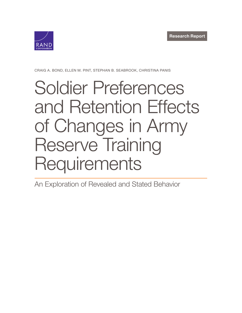

CRAIG A. BOND, ELLEN M. PINT, STEPHAN B. SEABROOK, CHRISTINA PANIS

# Soldier Preferences [and Retention Effects](https://www.rand.org/pubs/research_reports/RRA750-1.html) of Changes in Army Reserve Training **Requirements**

An Exploration of Revealed and Stated Behavior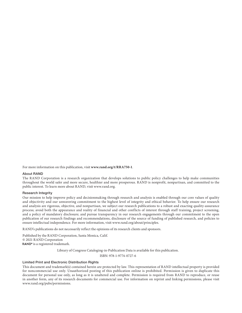For more information on this publication, visit **[www.rand.org/t/RRA750-1](http://www.rand.org/t/RRA750-1)**.

#### About RAND

The RAND Corporation is a research organization that develops solutions to public policy challenges to help make communities throughout the world safer and more secure, healthier and more prosperous. RAND is nonprofit, nonpartisan, and committed to the public interest. To learn more about RAND, visit [www.rand.org](http://www.rand.org).

#### Research Integrity

Our mission to help improve policy and decisionmaking through research and analysis is enabled through our core values of quality and objectivity and our unwavering commitment to the highest level of integrity and ethical behavior. To help ensure our research and analysis are rigorous, objective, and nonpartisan, we subject our research publications to a robust and exacting quality-assurance process; avoid both the appearance and reality of financial and other conflicts of interest through staff training, project screening, and a policy of mandatory disclosure; and pursue transparency in our research engagements through our commitment to the open publication of our research findings and recommendations, disclosure of the source of funding of published research, and policies to ensure intellectual independence. For more information, visit [www.rand.org/about/principles.](http://www.rand.org/about/principles)

RAND's publications do not necessarily reflect the opinions of its research clients and sponsors.

Published by the RAND Corporation, Santa Monica, Calif. © 2021 RAND Corporation RAND<sup>®</sup> is a registered trademark.

Library of Congress Cataloging-in-Publication Data is available for this publication.

ISBN: 978-1-9774-0727-6

#### Limited Print and Electronic Distribution Rights

This document and trademark(s) contained herein are protected by law. This representation of RAND intellectual property is provided for noncommercial use only. Unauthorized posting of this publication online is prohibited. Permission is given to duplicate this document for personal use only, as long as it is unaltered and complete. Permission is required from RAND to reproduce, or reuse in another form, any of its research documents for commercial use. For information on reprint and linking permissions, please visit [www.rand.org/pubs/permissions.](http://www.rand.org/pubs/permissions)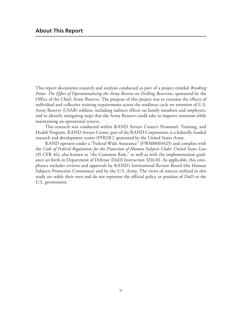This report documents research and analysis conducted as part of a project entitled *Breaking Point: The Effect of Operationalizing the Army Reserve on Drilling Reservists*, sponsored by the Office of the Chief, Army Reserve. The purpose of this project was to examine the effects of individual and collective training requirements across the readiness cycle on retention of U.S. Army Reserve (USAR) soldiers, including indirect effects on family members and employers, and to identify mitigating steps that the Army Reserve could take to improve retention while maintaining an operational reserve.

This research was conducted within RAND Arroyo Center's Personnel, Training, and Health Program. RAND Arroyo Center, part of the RAND Corporation, is a federally funded research and development center (FFRDC) sponsored by the United States Army.

RAND operates under a "Federal-Wide Assurance" (FWA00003425) and complies with the *Code of Federal Regulations for the Protection of Human Subjects Under United States Law* (45 CFR 46), also known as "the Common Rule," as well as with the implementation guidance set forth in Department of Defense (DoD) Instruction 3216.02. As applicable, this compliance includes reviews and approvals by RAND's Institutional Review Board (the Human Subjects Protection Committee) and by the U.S. Army. The views of sources utilized in this study are solely their own and do not represent the official policy or position of DoD or the U.S. government.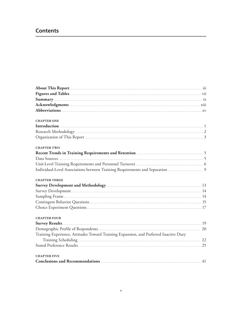# **Contents**

| <b>CHAPTER ONE</b>                                                                    |  |
|---------------------------------------------------------------------------------------|--|
|                                                                                       |  |
|                                                                                       |  |
|                                                                                       |  |
| <b>CHAPTER TWO</b>                                                                    |  |
|                                                                                       |  |
|                                                                                       |  |
|                                                                                       |  |
| Individual-Level Associations between Training Requirements and Separation            |  |
| <b>CHAPTER THREE</b>                                                                  |  |
|                                                                                       |  |
|                                                                                       |  |
|                                                                                       |  |
|                                                                                       |  |
|                                                                                       |  |
| <b>CHAPTER FOUR</b>                                                                   |  |
|                                                                                       |  |
|                                                                                       |  |
| Training Experience, Attitudes Toward Training Expansion, and Preferred Inactive Duty |  |
|                                                                                       |  |
|                                                                                       |  |
| <b>CHAPTER FIVE</b>                                                                   |  |
|                                                                                       |  |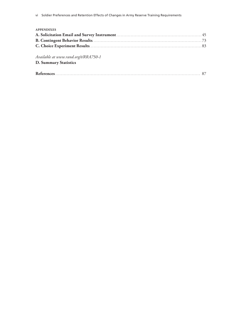#### **APPENDIXES**

*Available at [www.rand.org/t/RRA750-1](http://www.rand.org/t/RRA750-1)*  **D. Summary Statistics**

|--|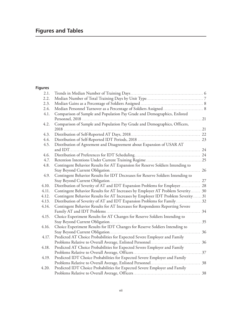# **Figures and Tables**

# **Figures**

| 2.1.  |                                                                                  |    |
|-------|----------------------------------------------------------------------------------|----|
| 2.2.  |                                                                                  |    |
| 2.3.  |                                                                                  |    |
| 2.4.  |                                                                                  |    |
| 4.1.  | Comparison of Sample and Population Pay Grade and Demographics, Enlisted         |    |
|       |                                                                                  | 21 |
| 4.2.  | Comparison of Sample and Population Pay Grade and Demographics, Officers,        |    |
|       |                                                                                  |    |
| 4.3.  |                                                                                  |    |
| 4.4.  |                                                                                  |    |
| 4.5.  | Distribution of Agreement and Disagreement about Expansion of USAR AT            |    |
|       |                                                                                  | 24 |
| 4.6.  |                                                                                  |    |
| 4.7.  |                                                                                  |    |
| 4.8.  | Contingent Behavior Results for AT Expansion for Reserve Soldiers Intending to   |    |
|       |                                                                                  | 26 |
| 4.9.  | Contingent Behavior Results for IDT Decreases for Reserve Soldiers Intending to  |    |
|       |                                                                                  |    |
| 4.10. | Distribution of Severity of AT and IDT Expansion Problems for Employer 28        |    |
| 4.11. | Contingent Behavior Results for AT Increases by Employer AT Problem Severity 30  |    |
| 4.12. | Contingent Behavior Results for AT Increases by Employer IDT Problem Severity 31 |    |
| 4.13. | Distribution of Severity of AT and IDT Expansion Problems for Family32           |    |
| 4.14. | Contingent Behavior Results for AT Increases for Respondents Reporting Severe    |    |
|       |                                                                                  | 34 |
| 4.15. | Choice Experiment Results for AT Changes for Reserve Soldiers Intending to       |    |
|       |                                                                                  | 35 |
| 4.16. | Choice Experiment Results for IDT Changes for Reserve Soldiers Intending to      |    |
|       |                                                                                  | 36 |
| 4.17. | Predicted AT Choice Probabilities for Expected Severe Employer and Family        |    |
|       |                                                                                  | 36 |
| 4.18. | Predicted AT Choice Probabilities for Expected Severe Employer and Family        |    |
|       |                                                                                  | 37 |
| 4.19. | Predicted IDT Choice Probabilities for Expected Severe Employer and Family       |    |
|       |                                                                                  | 38 |
| 4.20. | Predicted IDT Choice Probabilities for Expected Severe Employer and Family       |    |
|       |                                                                                  | 38 |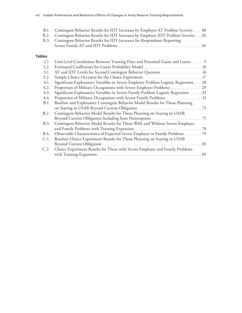| B.1. Contingent Behavior Results for IDT Increases by Employer AT Problem Severity 80   |
|-----------------------------------------------------------------------------------------|
| B.2. Contingent Behavior Results for IDT Increases by Employer IDT Problem Severity  81 |
| B.3. Contingent Behavior Results for IDT Increases for Respondents Reporting            |
|                                                                                         |

#### **Tables**

| 2.1. | Unit-Level Correlations Between Training Days and Personnel Gains and Losses 9      |     |
|------|-------------------------------------------------------------------------------------|-----|
| 2.2. |                                                                                     |     |
| 3.1. |                                                                                     |     |
| 3.2. |                                                                                     |     |
| 4.1. | Significant Explanatory Variables in Severe Employer Problem Logistic Regression 28 |     |
| 4.2. |                                                                                     |     |
| 4.3. | Significant Explanatory Variables in Severe Family Problem Logistic Regression 32   |     |
| 4.4. |                                                                                     |     |
| B.1. | Baseline and Exploratory Contingent Behavior Model Results for Those Planning       |     |
|      |                                                                                     |     |
| B.2. | Contingent Behavior Model Results for Those Planning on Staying in USAR             |     |
|      |                                                                                     |     |
| B.3. | Contingent Behavior Model Results for Those With and Without Severe Employer        |     |
|      |                                                                                     | .78 |
| B.4. | Observable Characteristics of Expected Severe Employer or Family Problems 79        |     |
| C.1. | Baseline Choice Experiment Results for Those Planning on Staying in USAR            |     |
|      |                                                                                     |     |
| C.2. | Choice Experiment Results for Those with Severe Employer and Family Problems        |     |
|      |                                                                                     | 85  |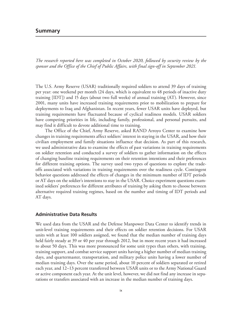## **Summary**

*The research reported here was completed in October 2020, followed by security review by the sponsor and the Office of the Chief of Public Affairs, with final sign-off in September 2021.*

The U.S. Army Reserve (USAR) traditionally required soldiers to attend 39 days of training per year: one weekend per month (24 days, which is equivalent to 48 periods of inactive duty training [IDT]) and 15 days (about two full weeks) of annual training (AT). However, since 2001, many units have increased training requirements prior to mobilization to prepare for deployments to Iraq and Afghanistan. In recent years, fewer USAR units have deployed, but training requirements have fluctuated because of cyclical readiness models. USAR soldiers have competing priorities in life, including family, professional, and personal pursuits, and may find it difficult to devote additional time to training.

The Office of the Chief, Army Reserve, asked RAND Arroyo Center to examine how changes in training requirements affect soldiers' interest in staying in the USAR, and how their civilian employment and family situations influence that decision. As part of this research, we used administrative data to examine the effects of past variations in training requirements on soldier retention and conducted a survey of soldiers to gather information on the effects of changing baseline training requirements on their retention intentions and their preferences for different training options. The survey used two types of questions to explore the tradeoffs associated with variations in training requirements over the readiness cycle. Contingent behavior questions addressed the effects of changes in the minimum number of IDT periods or AT days on the soldier's intentions to stay in the USAR. Choice experiment questions examined soldiers' preferences for different attributes of training by asking them to choose between alternative required training regimes, based on the number and timing of IDT periods and AT days.

#### **Administrative Data Results**

We used data from the USAR and the Defense Manpower Data Center to identify trends in unit-level training requirements and their effects on soldier retention decisions. For USAR units with at least 100 soldiers assigned, we found that the median number of training days held fairly steady at 39 or 40 per year through 2012, but in more recent years it had increased to about 50 days. This was more pronounced for some unit types than others, with training, training support, and combat service support units having a higher number of median training days, and quartermaster, transportation, and military police units having a lower number of median training days. Over the same period, about 10 percent of soldiers separated or retired each year, and 12–13 percent transferred between USAR units or to the Army National Guard or active component each year. At the unit level, however, we did not find any increase in separations or transfers associated with an increase in the median number of training days.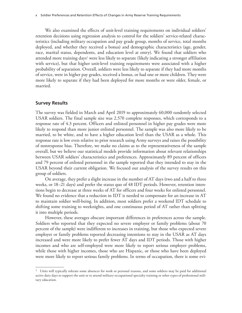We also examined the effects of unit-level training requirements on individual soldiers' retention decisions using regression analysis to control for the soldiers' service-related characteristics (including military occupation and pay grade group, months of service, total months deployed, and whether they received a bonus) and demographic characteristics (age, gender, race, marital status, dependents, and education level at entry). We found that soldiers who attended more training days<sup>1</sup> were less likely to separate (likely indicating a stronger affiliation with service), but that higher unit-level training requirements were associated with a higher probability of separation. Overall, soldiers were less likely to separate if they had more months of service, were in higher pay grades, received a bonus, or had one or more children. They were more likely to separate if they had been deployed for more months or were older, female, or married.

#### **Survey Results**

The survey was fielded in March and April 2019 to approximately 60,000 randomly selected USAR soldiers. The final sample size was 2,570 complete responses, which corresponds to a response rate of 4.3 percent. Officers and enlisted personnel in higher pay grades were more likely to respond than more junior enlisted personnel. The sample was also more likely to be married, to be white, and to have a higher education level than the USAR as a whole. This response rate is low even relative to prior research using Army surveys and raises the possibility of nonresponse bias. Therefore, we make no claims as to the representativeness of the sample overall, but we believe our statistical models provide information about relevant relationships between USAR soldiers' characteristics and preferences. Approximately 89 percent of officers and 79 percent of enlisted personnel in the sample reported that they intended to stay in the USAR beyond their current obligation. We focused our analysis of the survey results on this group of soldiers.

On average, they prefer a slight increase in the number of AT days (two and a half to three weeks, or 18–21 days) and prefer the status quo of 48 IDT periods. However, retention intentions begin to decrease at three weeks of AT for officers and four weeks for enlisted personnel. We found no evidence that a reduction in IDT is needed to compensate for an increase in AT to maintain soldier well-being. In addition, most soldiers prefer a weekend IDT schedule to shifting some training to weeknights, and one continuous period of AT rather than splitting it into multiple periods.

However, these averages obscure important differences in preferences across the sample. Soldiers who reported that they expected no severe employer or family problems (about 70 percent of the sample) were indifferent to increases in training, but those who expected severe employer or family problems reported decreasing intentions to stay in the USAR as AT days increased and were more likely to prefer fewer AT days and IDT periods. Those with higher incomes and who are self-employed were more likely to report serious employer problems, while those with higher incomes, those who are Hispanic, or those who have been deployed were more likely to report serious family problems. In terms of occupation, there is some evi-

 $1$  Units will typically tolerate some absences for work or personal reasons, and some soldiers may be paid for additional active duty days to support the unit or to attend military occupational specialty training or other types of professional military education.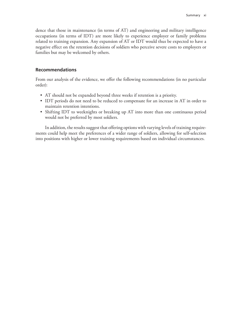dence that those in maintenance (in terms of AT) and engineering and military intelligence occupations (in terms of IDT) are more likely to experience employer or family problems related to training expansion. Any expansion of AT or IDT would thus be expected to have a negative effect on the retention decisions of soldiers who perceive severe costs to employers or families but may be welcomed by others.

#### **Recommendations**

From our analysis of the evidence, we offer the following recommendations (in no particular order):

- AT should not be expanded beyond three weeks if retention is a priority.
- IDT periods do not need to be reduced to compensate for an increase in AT in order to maintain retention intentions.
- Shifting IDT to weeknights or breaking up AT into more than one continuous period would not be preferred by most soldiers.

In addition, the results suggest that offering options with varying levels of training requirements could help meet the preferences of a wider range of soldiers, allowing for self-selection into positions with higher or lower training requirements based on individual circumstances.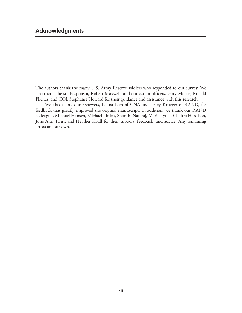The authors thank the many U.S. Army Reserve soldiers who responded to our survey. We also thank the study sponsor, Robert Maxwell, and our action officers, Gary Morris, Ronald Plichta, and COL Stephanie Howard for their guidance and assistance with this research.

We also thank our reviewers, Diana Lien of CNA and Tracy Krueger of RAND, for feedback that greatly improved the original manuscript. In addition, we thank our RAND colleagues Michael Hansen, Michael Linick, Shanthi Nataraj, Maria Lytell, Chaitra Hardison, Julie Ann Tajiri, and Heather Krull for their support, feedback, and advice. Any remaining errors are our own.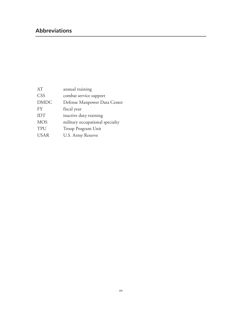# **Abbreviations**

| AT          | annual training                 |
|-------------|---------------------------------|
| <b>CSS</b>  | combat service support          |
| <b>DMDC</b> | Defense Manpower Data Center    |
| <b>FY</b>   | fiscal year                     |
| <b>IDT</b>  | inactive duty training          |
| <b>MOS</b>  | military occupational specialty |
| TPU         | Troop Program Unit              |
| <b>USAR</b> | U.S. Army Reserve               |
|             |                                 |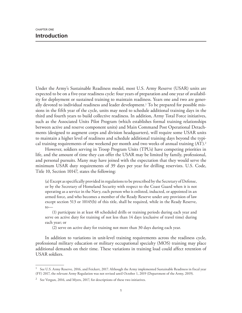Under the Army's Sustainable Readiness model, most U.S. Army Reserve (USAR) units are expected to be on a five-year readiness cycle: four years of preparation and one year of availability for deployment or sustained training to maintain readiness. Years one and two are generally devoted to individual readiness and leader development.<sup>1</sup> To be prepared for possible missions in the fifth year of the cycle, units may need to schedule additional training days in the third and fourth years to build collective readiness. In addition, Army Total Force initiatives, such as the Associated Units Pilot Program (which establishes formal training relationships between active and reserve component units) and Main Command Post Operational Detachments (designed to augment corps and division headquarters), will require some USAR units to maintain a higher level of readiness and schedule additional training days beyond the typical training requirements of one weekend per month and two weeks of annual training (AT).<sup>2</sup>

However, soldiers serving in Troop Program Units (TPUs) have competing priorities in life, and the amount of time they can offer the USAR may be limited by family, professional, and personal pursuits. Many may have joined with the expectation that they would serve the minimum USAR duty requirements of 39 days per year for drilling reservists. U.S. Code, Title 10, Section 10147, states the following:

(a) Except as specifically provided in regulations to be prescribed by the Secretary of Defense, or by the Secretary of Homeland Security with respect to the Coast Guard when it is not operating as a service in the Navy, each person who is enlisted, inducted, or appointed in an armed force, and who becomes a member of the Ready Reserve under any provision of law except section 513 or 10145(b) of this title, shall be required, while in the Ready Reserve, to—

(1) participate in at least 48 scheduled drills or training periods during each year and serve on active duty for training of not less than 14 days (exclusive of travel time) during each year; or

(2) serve on active duty for training not more than 30 days during each year.

In addition to variations in unit-level training requirements across the readiness cycle, professional military education or military occupational specialty (MOS) training may place additional demands on their time. These variations in training load could affect retention of USAR soldiers.

<sup>&</sup>lt;sup>1</sup> See U.S. Army Reserve, 2016, and Feickert, 2017. Although the Army implemented Sustainable Readiness in fiscal year (FY) 2017, the relevant Army Regulation was not revised until October 1, 2019 (Department of the Army, 2019).

<sup>&</sup>lt;sup>2</sup> See Vergun, 2016, and Myers, 2017, for descriptions of these two initiatives.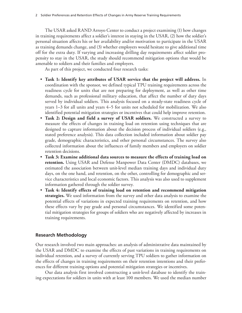The USAR asked RAND Arroyo Center to conduct a project examining (1) how changes in training requirements affect a soldier's interest in staying in the USAR, (2) how the soldier's personal situation affects his or her availability and/or motivation to participate in the USAR as training demands change, and (3) whether employers would hesitate to give additional time off for the extra duty. If varying and increasing drilling day requirements affect soldier propensity to stay in the USAR, the study should recommend mitigation options that would be amenable to soldiers and their families and employers.

As part of this project, we conducted four research tasks:

- **Task 1: Identify key attributes of USAR service that the project will address.** In coordination with the sponsor, we defined typical TPU training requirements across the readiness cycle for units that are not preparing for deployment, as well as other time demands, such as professional military education, that affect the number of duty days served by individual soldiers. This analysis focused on a steady-state readiness cycle of years 1–3 for all units and years 4–5 for units not scheduled for mobilization. We also identified potential mitigation strategies or incentives that could help improve retention.
- **Task 2: Design and field a survey of USAR soldiers.** We constructed a survey to measure the effects of changes in training load on retention using techniques that are designed to capture information about the decision process of individual soldiers (e.g., stated preference analysis). This data collection included information about soldier pay grade, demographic characteristics, and other personal circumstances. The survey also collected information about the influences of family members and employers on soldier retention decisions.
- **Task 3: Examine additional data sources to measure the effects of training load on retention.** Using USAR and Defense Manpower Data Center (DMDC) databases, we estimated the association between unit-level median training days and individual duty days, on the one hand, and retention, on the other, controlling for demographic and service characteristics and local economic factors. This analysis was also used to supplement information gathered through the soldier survey.
- **Task 4: Identify effects of training load on retention and recommend mitigation strategies.** We used information from the survey and other data analysis to examine the potential effects of variations in expected training requirements on retention, and how these effects vary by pay grade and personal circumstances. We identified some potential mitigation strategies for groups of soldiers who are negatively affected by increases in training requirements.

#### **Research Methodology**

Our research involved two main approaches: an analysis of administrative data maintained by the USAR and DMDC to examine the effects of past variations in training requirements on individual retention, and a survey of currently serving TPU soldiers to gather information on the effects of changes in training requirements on their retention intentions and their preferences for different training options and potential mitigation strategies or incentives.

Our data analysis first involved constructing a unit-level database to identify the training expectations for soldiers in units with at least 100 members. We used the median number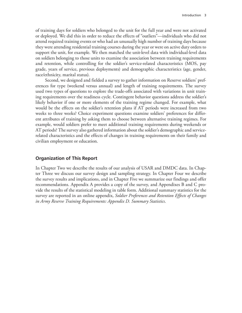of training days for soldiers who belonged to the unit for the full year and were not activated or deployed. We did this in order to reduce the effects of "outliers"—individuals who did not attend required training events or who had an unusually high number of training days because they were attending residential training courses during the year or were on active duty orders to support the unit, for example. We then matched the unit-level data with individual-level data on soldiers belonging to those units to examine the association between training requirements and retention, while controlling for the soldier's service-related characteristics (MOS, pay grade, years of service, previous deployments) and demographic characteristics (age, gender, race/ethnicity, marital status).

Second, we designed and fielded a survey to gather information on Reserve soldiers' preferences for type (weekend versus annual) and length of training requirements. The survey used two types of questions to explore the trade-offs associated with variations in unit training requirements over the readiness cycle. Contingent behavior questions address the soldier's likely behavior if one or more elements of the training regime changed. For example, what would be the effects on the soldier's retention plans if AT periods were increased from two weeks to three weeks? Choice experiment questions examine soldiers' preferences for different attributes of training by asking them to choose between alternative training regimes. For example, would soldiers prefer to meet additional training requirements during weekends or AT periods? The survey also gathered information about the soldier's demographic and servicerelated characteristics and the effects of changes in training requirements on their family and civilian employment or education.

#### **Organization of This Report**

In Chapter Two we describe the results of our analysis of USAR and DMDC data. In Chapter Three we discuss our survey design and sampling strategy. In Chapter Four we describe the survey results and implications, and in Chapter Five we summarize our findings and offer recommendations. Appendix A provides a copy of the survey, and Appendixes B and C provide the results of the statistical modeling in table form. Additional summary statistics for the survey are reported in an online appendix, *Soldier Preferences and Retention Effects of Changes in Army Reserve Training Requirements: Appendix D. Summary Statistics*.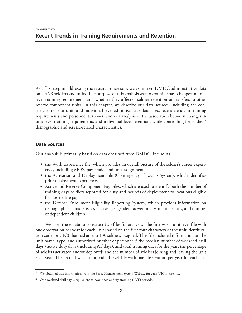As a first step in addressing the research questions, we examined DMDC administrative data on USAR soldiers and units. The purpose of this analysis was to examine past changes in unitlevel training requirements and whether they affected soldier retention or transfers to other reserve component units. In this chapter, we describe our data sources, including the construction of our unit- and individual-level administrative databases, recent trends in training requirements and personnel turnover, and our analysis of the association between changes in unit-level training requirements and individual-level retention, while controlling for soldiers' demographic and service-related characteristics.

## **Data Sources**

Our analysis is primarily based on data obtained from DMDC, including

- the Work Experience file, which provides an overall picture of the soldier's career experience, including MOS, pay grade, and unit assignments
- the Activation and Deployment File (Contingency Tracking System), which identifies prior deployment experiences
- Active and Reserve Component Pay Files, which are used to identify both the number of training days soldiers reported for duty and periods of deployment to locations eligible for hostile fire pay
- the Defense Enrollment Eligibility Reporting System, which provides information on demographic characteristics such as age, gender, race/ethnicity, marital status, and number of dependent children.

We used these data to construct two files for analysis. The first was a unit-level file with one observation per year for each unit (based on the first four characters of the unit identification code, or UIC) that had at least 100 soldiers assigned. This file included information on the unit name, type, and authorized number of personnel;<sup>1</sup> the median number of weekend drill days,2 active duty days (including AT days), and total training days for the year; the percentage of soldiers activated and/or deployed; and the number of soldiers joining and leaving the unit each year. The second was an individual-level file with one observation per year for each sol-

 $^{\rm 1}$  We obtained this information from the Force Management System Website for each UIC in the file.

 $2$  One weekend drill day is equivalent to two inactive duty training (IDT) periods.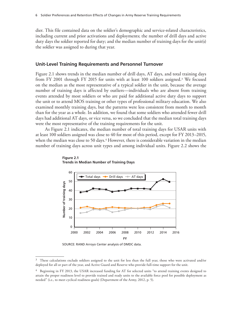dier. This file contained data on the soldier's demographic and service-related characteristics, including current and prior activations and deployments; the number of drill days and active duty days the soldier reported for duty; and the median number of training days for the unit(s) the soldier was assigned to during that year.

#### **Unit-Level Training Requirements and Personnel Turnover**

Figure 2.1 shows trends in the median number of drill days, AT days, and total training days from FY 2001 through FY 2015 for units with at least 100 soldiers assigned.3 We focused on the median as the most representative of a typical soldier in the unit, because the average number of training days is affected by outliers—individuals who are absent from training events attended by most soldiers or who are paid for additional active duty days to support the unit or to attend MOS training or other types of professional military education. We also examined monthly training days, but the patterns were less consistent from month to month than for the year as a whole. In addition, we found that some soldiers who attended fewer drill days had additional AT days, or vice versa, so we concluded that the median total training days were the most representative of the training requirements for the unit.

As Figure 2.1 indicates, the median number of total training days for USAR units with at least 100 soldiers assigned was close to 40 for most of this period, except for FY 2013–2015, when the median was close to 50 days.<sup>4</sup> However, there is considerable variation in the median number of training days across unit types and among individual units. Figure 2.2 shows the



**Figure 2.1 Trends in Median Number of Training Days**

SOURCE: RAND Arroyo Center analysis of DMDC data.

<sup>&</sup>lt;sup>3</sup> These calculations exclude soldiers assigned to the unit for less than the full year, those who were activated and/or deployed for all or part of the year, and Active Guard and Reserve who provide full-time support for the unit.

<sup>4</sup> Beginning in FY 2013, the USAR increased funding for AT for selected units "to attend training events designed to attain the proper readiness level to provide trained and ready units to the available force pool for possible deployment as needed" (i.e., to meet cyclical readiness goals) (Department of the Army, 2012, p. 5).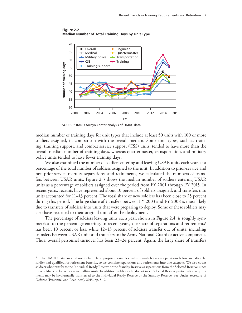

**Figure 2.2 Median Number of Total Training Days by Unit Type**

SOURCE: RAND Arroyo Center analysis of DMDC data.

median number of training days for unit types that include at least 50 units with 100 or more soldiers assigned, in comparison with the overall median. Some unit types, such as training, training support, and combat service support (CSS) units, tended to have more than the overall median number of training days, whereas quartermaster, transportation, and military police units tended to have fewer training days.

We also examined the number of soldiers entering and leaving USAR units each year, as a percentage of the total number of soldiers assigned to the unit. In addition to prior-service and non-prior-service recruits, separations, and retirements, we calculated the numbers of transfers between USAR units. Figure 2.3 shows the median number of soldiers entering USAR units as a percentage of soldiers assigned over the period from FY 2001 through FY 2015. In recent years, recruits have represented about 10 percent of soldiers assigned, and transfers into units accounted for 11–13 percent. The total share of new soldiers has been close to 25 percent during this period. The large share of transfers between FY 2003 and FY 2008 is most likely due to transfers of soldiers into units that were preparing to deploy. Some of these soldiers may also have returned to their original unit after the deployment.

The percentage of soldiers leaving units each year, shown in Figure 2.4, is roughly symmetrical to the percentage entering. In recent years, the share of separations and retirements<sup>5</sup> has been 10 percent or less, while 12–13 percent of soldiers transfer out of units, including transfers between USAR units and transfers to the Army National Guard or active component. Thus, overall personnel turnover has been 23–24 percent. Again, the large share of transfers

 $5$  The DMDC databases did not include the appropriate variables to distinguish between separations before and after the soldier had qualified for retirement benefits, so we combine separations and retirements into one category. We also count soldiers who transfer to the Individual Ready Reserve or the Standby Reserve as separations from the Selected Reserve, since these soldiers no longer serve in drilling units. In addition, soldiers who do not meet Selected Reserve participation requirements may be involuntarily transferred to the Individual Ready Reserve or the Standby Reserve. See Under Secretary of Defense (Personnel and Readiness), 2015, pp. 8–9.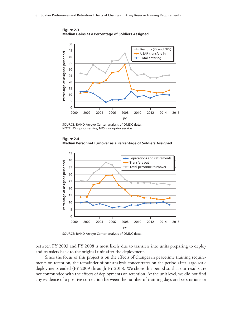

**Figure 2.3 Median Gains as a Percentage of Soldiers Assigned**

SOURCE: RAND Arroyo Center analysis of DMDC data. NOTE: PS = prior service; NPS = nonprior service.





SOURCE: RAND Arroyo Center analysis of DMDC data.

between FY 2003 and FY 2008 is most likely due to transfers into units preparing to deploy and transfers back to the original unit after the deployment.

Since the focus of this project is on the effects of changes in peacetime training requirements on retention, the remainder of our analysis concentrates on the period after large-scale deployments ended (FY 2009 through FY 2015). We chose this period so that our results are not confounded with the effects of deployments on retention. At the unit level, we did not find any evidence of a positive correlation between the number of training days and separations or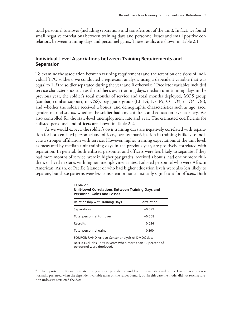total personnel turnover (including separations and transfers out of the unit). In fact, we found small negative correlations between training days and personnel losses and small positive correlations between training days and personnel gains. These results are shown in Table 2.1.

### **Individual-Level Associations between Training Requirements and Separation**

To examine the association between training requirements and the retention decisions of individual TPU soldiers, we conducted a regression analysis, using a dependent variable that was equal to 1 if the soldier separated during the year and 0 otherwise.<sup>6</sup> Predictor variables included service characteristics such as the soldier's own training days, median unit training days in the previous year, the soldier's total months of service and total months deployed, MOS group (combat, combat support, or CSS), pay grade group (E1–E4, E5–E9, O1–O3, or O4–O6), and whether the soldier received a bonus; and demographic characteristics such as age, race, gender, marital status, whether the soldier had any children, and education level at entry. We also controlled for the state-level unemployment rate and year. The estimated coefficients for enlisted personnel and officers are shown in Table 2.2.

As we would expect, the soldier's own training days are negatively correlated with separation for both enlisted personnel and officers, because participation in training is likely to indicate a stronger affiliation with service. However, higher training expectations at the unit level, as measured by median unit training days in the previous year, are positively correlated with separation. In general, both enlisted personnel and officers were less likely to separate if they had more months of service, were in higher pay grades, received a bonus, had one or more children, or lived in states with higher unemployment rates. Enlisted personnel who were African American, Asian, or Pacific Islander or who had higher education levels were also less likely to separate, but these patterns were less consistent or not statistically significant for officers. Both

| <b>Personnel Gains and Losses</b>      |             |  |  |
|----------------------------------------|-------------|--|--|
| <b>Relationship with Training Days</b> | Correlation |  |  |
| Separations                            | $-0.099$    |  |  |
| Total personnel turnover               | $-0.068$    |  |  |
| Recruits                               | 0.036       |  |  |
| Total personnel gains                  | 0.160       |  |  |

**Table 2.1 Unit-Level Correlations Between Training Days and** 

SOURCE: RAND Arroyo Center analysis of DMDC data.

NOTE: Excludes units in years when more than 10 percent of personnel were deployed.

<sup>6</sup> The reported results are estimated using a linear probability model with robust standard errors. Logistic regression is normally preferred when the dependent variable takes on the values 0 and 1, but in this case the model did not reach a solution unless we restricted the data.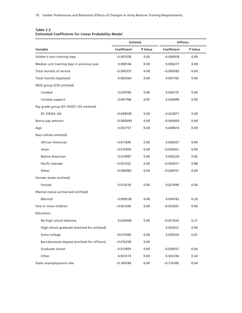#### **Table 2.2 Estimated Coefficients for Linear Probability Model**

|                                             | <b>Enlisted</b> |         | <b>Officers</b> |         |
|---------------------------------------------|-----------------|---------|-----------------|---------|
| Variable                                    | Coefficient     | P Value | Coefficient     | P Value |
| Soldier's own training days                 | $-0.001558$     | 0.00    | $-0.000918$     | 0.00    |
| Median unit training days in previous year  | 0.000146        | 0.00    | 0.000277        | 0.00    |
| Total months of service                     | $-0.000337$     | 0.00    | $-0.000383$     | 0.00    |
| Total months deployed                       | 0.003364        | 0.00    | 0.001703        | 0.00    |
| MOS group (CSS omitted)                     |                 |         |                 |         |
| Combat                                      | 0.019799        | 0.00    | 0.036110        | 0.00    |
| Combat support                              | 0.001768        | 0.05    | 0.020499        | 0.00    |
| Pay grade group (E1-E4/O1-O3 omitted)       |                 |         |                 |         |
| E5-E9/O4-O6                                 | $-0.048528$     | 0.00    | $-0.023877$     | 0.00    |
| Bonus pay amount                            | $-0.000009$     | 0.00    | $-0.000003$     | 0.00    |
| Age                                         | 0.001757        | 0.00    | 0.008614        | 0.00    |
| Race (white omitted)                        |                 |         |                 |         |
| African American                            | $-0.011690$     | 0.00    | 0.000337        | 0.94    |
| Asian                                       | $-0.015459$     | 0.00    | $-0.020421$     | 0.00    |
| <b>Native American</b>                      | 0.013987        | 0.00    | 0.006220        | 0.65    |
| Pacific Islander                            | $-0.031252$     | 0.00    | $-0.002917$     | 0.88    |
| Other                                       | $-0.006985$     | 0.04    | $-0.028761$     | 0.00    |
| Gender (male omitted)                       |                 |         |                 |         |
| Female                                      | 0.013218        | 0.00    | 0.021099        | 0.00    |
| Marital status (unmarried omitted)          |                 |         |                 |         |
| Married                                     | 0.009528        | 0.00    | 0.004743        | 0.20    |
| One or more children                        | $-0.021266$     | 0.00    | $-0.033031$     | 0.00    |
| Education                                   |                 |         |                 |         |
| No high school diploma                      | 0.029468        | 0.00    | $-0.021424$     | 0.21    |
| High school graduate (omitted for enlisted) |                 |         | 0.033612        | 0.00    |
| Some college                                | $-0.015569$     | 0.00    | 0.020324        | 0.07    |
| Baccalaureate degree (omitted for officers) | $-0.016258$     | 0.00    |                 |         |
| Graduate school                             | $-0.012859$     | 0.00    | $-0.028551$     | 0.00    |
| Other                                       | 0.037273        | 0.00    | 0.022336        | 0.24    |
| State unemployment rate                     | $-0.369746$     | 0.00    | $-0.216186$     | 0.04    |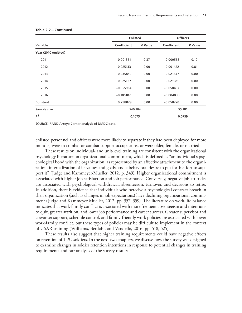|                     | <b>Enlisted</b> | <b>Officers</b> |             |         |
|---------------------|-----------------|-----------------|-------------|---------|
| Variable            | Coefficient     | P Value         | Coefficient | P Value |
| Year (2010 omitted) |                 |                 |             |         |
| 2011                | 0.001361        | 0.37            | 0.009558    | 0.10    |
| 2012                | $-0.025133$     | 0.00            | 0.001422    | 0.81    |
| 2013                | $-0.035850$     | 0.00            | $-0.021847$ | 0.00    |
| 2014                | $-0.025167$     | 0.00            | $-0.021981$ | 0.00    |
| 2015                | $-0.055964$     | 0.00            | $-0.058437$ | 0.00    |
| 2016                | $-0.105187$     | 0.00            | $-0.084830$ | 0.00    |
| Constant            | 0.298029        | 0.00            | $-0.058270$ | 0.00    |
| Sample size         |                 | 740,104         |             | 55,181  |
| $R^2$               | 0.1075          |                 | 0.0759      |         |

#### **Table 2.2—Continued**

SOURCE: RAND Arroyo Center analysis of DMDC data.

enlisted personnel and officers were more likely to separate if they had been deployed for more months, were in combat or combat support occupations, or were older, female, or married.

These results on individual- and unit-level training are consistent with the organizational psychology literature on organizational commitment, which is defined as "an individual's psychological bond with the organization, as represented by an affective attachment to the organization, internalization of its values and goals, and a behavioral desire to put forth effort to support it" (Judge and Kammeyer-Mueller, 2012, p. 349). Higher organizational commitment is associated with higher job satisfaction and job performance. Conversely, negative job attitudes are associated with psychological withdrawal, absenteeism, turnover, and decisions to retire. In addition, there is evidence that individuals who perceive a psychological contract breach in their organization (such as changes in job expectations) have declining organizational commitment (Judge and Kammeyer-Mueller, 2012, pp. 357–359). The literature on work-life balance indicates that work-family conflict is associated with more frequent absenteeism and intentions to quit, greater attrition, and lower job performance and career success. Greater supervisor and coworker support, schedule control, and family-friendly work policies are associated with lower work-family conflict, but these types of policies may be difficult to implement in the context of USAR training (Williams, Berdahl, and Vandello, 2016, pp. 518, 525).

These results also suggest that higher training requirements could have negative effects on retention of TPU soldiers. In the next two chapters, we discuss how the survey was designed to examine changes in soldier retention intentions in response to potential changes in training requirements and our analysis of the survey results.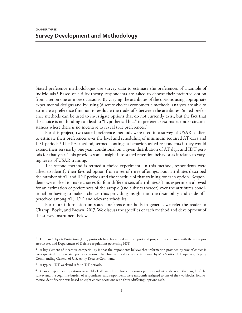Stated preference methodologies use survey data to estimate the preferences of a sample of individuals.1 Based on utility theory, respondents are asked to choose their preferred option from a set on one or more occasions. By varying the attributes of the options using appropriate experimental designs and by using (discrete choice) econometric methods, analysts are able to estimate a preference function to evaluate the trade-offs between the attributes. Stated preference methods can be used to investigate options that do not currently exist, but the fact that the choice is not binding can lead to "hypothetical bias" in preference estimates under circumstances where there is no incentive to reveal true preferences.<sup>2</sup>

For this project, two stated preference methods were used in a survey of USAR soldiers to estimate their preferences over the level and scheduling of minimum required AT days and IDT periods.<sup>3</sup> The first method, termed contingent behavior, asked respondents if they would extend their service by one year, conditional on a given distribution of AT days and IDT periods for that year. This provides some insight into stated retention behavior as it relates to varying levels of USAR training.

The second method is termed a choice experiment. In this method, respondents were asked to identify their favored option from a set of three offerings. Four attributes described the number of AT and IDT periods and the schedule of that training for each option. Respondents were asked to make choices for four different sets of attributes.<sup>4</sup> This experiment allowed for an estimation of preferences of the sample (and subsets thereof) over the attributes conditional on having to make a choice, thus providing insight into the desirability and trade-offs perceived among AT, IDT, and relevant schedules.

For more information on stated preference methods in general, we refer the reader to Champ, Boyle, and Brown, 2017. We discuss the specifics of each method and development of the survey instrument below.

<sup>&</sup>lt;sup>1</sup> Human Subjects Protection (HSP) protocols have been used in this report and project in accordance with the appropriate statutes and Department of Defense regulations governing HSP.

 $2$  A key element of incentive compatibility is that the respondents believe that information provided by way of choice is consequential to any related policy decisions. Therefore, we used a cover letter signed by MG Scottie D. Carpenter, Deputy Commanding General of U.S. Army Reserve Command.

<sup>3</sup> A typical IDT weekend is four IDT periods.

<sup>&</sup>lt;sup>4</sup> Choice experiment questions were "blocked" into four choice occasions per respondent to decrease the length of the survey and the cognitive burden of respondents, and respondents were randomly assigned to one of the two blocks. Econometric identification was based on eight choice occasions with three (differing) options each.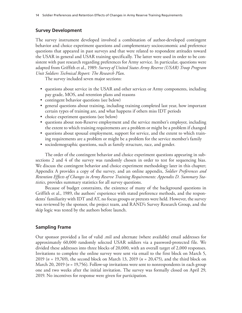#### **Survey Development**

The survey instrument developed involved a combination of author-developed contingent behavior and choice experiment questions and complementary socioeconomic and preference questions that appeared in past surveys and that were related to respondent attitudes toward the USAR in general and USAR training specifically. The latter were used in order to be consistent with past research regarding preferences for Army service. In particular, questions were adapted from Griffith et al., 1989: *Survey of United States Army Reserve (USAR) Troop Program Unit Soldiers Technical Report: The Research Plan*.

The survey included seven major sections:

- questions about service in the USAR and other services or Army components, including pay grade, MOS, and retention plans and reasons
- contingent behavior questions (see below)
- general questions about training, including training completed last year, how important certain types of training are, and what happens if others miss IDT periods
- choice experiment questions (see below)
- questions about non-Reserve employment and the service member's employer, including the extent to which training requirements are a problem or might be a problem if changed
- questions about spousal employment, support for service, and the extent to which training requirements are a problem or might be a problem for the service member's family
- sociodemographic questions, such as family structure, race, and gender.

The order of the contingent behavior and choice experiment questions appearing in subsections 2 and 4 of the survey was randomly chosen in order to test for sequencing bias. We discuss the contingent behavior and choice experiment methodology later in this chapter; Appendix A provides a copy of the survey, and an online appendix, *Soldier Preferences and Retention Effects of Changes in Army Reserve Training Requirements: Appendix D. Summary Statistics*, provides summary statistics for all survey questions.

Because of budget constraints, the existence of many of the background questions in Griffith et al., 1989, the authors' experience with stated preference methods, and the respondents' familiarity with IDT and AT, no focus groups or pretests were held. However, the survey was reviewed by the sponsor, the project team, and RAND's Survey Research Group, and the skip logic was tested by the authors before launch.

#### **Sampling Frame**

Our sponsor provided a list of valid .mil and alternate (where available) email addresses for approximately 60,000 randomly selected USAR soldiers via a password-protected file. We divided these addresses into three blocks of 20,000, with an overall target of 2,000 responses. Invitations to complete the online survey were sent via email to the first block on March 5, 2019 (*n* = 19,769), the second block on March 13, 2019 (*n* = 20,475), and the third block on March 20, 2019 (*n* = 19,756). Follow-up invitations were sent to nonrespondents in each group one and two weeks after the initial invitation. The survey was formally closed on April 29, 2019. No incentives for response were given for participation.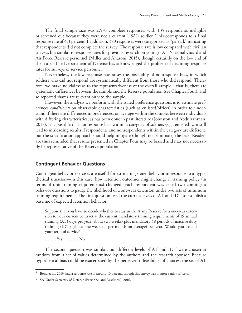The final sample size was 2,570 complete responses, with 135 respondents ineligible or screened out because they were not a current USAR soldier. This corresponds to a final response rate of 4.3 percent. In addition, 370 responses were categorized as "partial," indicating that respondents did not complete the survey. The response rate is low compared with civilian surveys but similar to response rates for previous research on younger Air National Guard and Air Force Reserve personnel (Miller and Aharoni, 2015), though certainly on the low end of the scale.<sup>5</sup> The Department of Defense has acknowledged the problem of declining response rates for surveys of service personnel.<sup>6</sup>

Nevertheless, the low response rate raises the possibility of nonresponse bias, in which soldiers who did not respond are systematically different from those who did respond. Therefore, we make no claims as to the representativeness of the overall sample—that is, there are systematic differences between the sample and the Reserve population (see Chapter Four), and so reported shares are relevant only to the sample.

However, the analysis we perform with the stated preference questions is to estimate preferences *conditional* on observable characteristics (such as enlisted/officer) in order to understand if there are differences in preferences, on average within the sample, between individuals with differing characteristics, as has been done in past literature (Johnston and Abdulrahman, 2017). It is possible that nonresponse bias within a category of soldiers (e.g., enlisted) can still lead to misleading results if respondents and nonrespondents within the category are different, but the stratification approach should help mitigate (though not eliminate) the bias. Readers are thus reminded that results presented in Chapter Four may be biased and may not necessarily be representative of the Reserve population.

#### **Contingent Behavior Questions**

Contingent behavior exercises are useful for estimating stated behavior in response to a hypothetical situation—in this case, how retention outcomes might change if training policy (in terms of unit training requirements) changed. Each respondent was asked two contingent behavior questions to gauge the likelihood of a one-year extension under two sets of minimum training requirements. The first question used the current levels of AT and IDT to establish a baseline of expected retention behavior:

Suppose that you have to decide whether to stay in the Army Reserve for a one-year extension to your current contract at the current mandatory training requirements of 15 annual training (AT) days per year (about two weeks) plus mandatory 48 periods of inactive duty training (IDT) (about one weekend per month on average) per year. Would you extend your term of service?

\_\_\_\_\_ Yes \_\_\_\_\_ No

The second question was similar, but different levels of AT and IDT were chosen at random from a set of values determined by the authors and the research sponsor. Because hypothetical bias could be exacerbated by the perceived infeasibility of choices, the set of AT

<sup>5</sup> Bond et al., 2019, had a response rate of around 10 percent, though this survey was of more senior officers.

<sup>6</sup> See Under Secretary of Defense (Personnel and Readiness), 2016.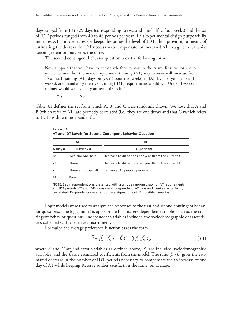days ranged from 18 to 29 days (corresponding to two and one-half to four weeks) and the set of IDT periods ranged from 40 to 48 periods per year. This experimental design purposefully increases AT and decreases (or keeps the same) the level of IDT, thus providing a means of estimating the decrease in IDT necessary to compensate for increased AT in a given year while keeping retention outcomes the same.

The second contingent behavior question took the following form:

Now suppose that you have to decide whether to stay in the Army Reserve for a oneyear extension, but the mandatory annual training (AT) requirement will increase from 15 annual training (AT) days per year (about two weeks) to [A] days per year (about [B] weeks), and mandatory inactive training (IDT) requirements would [C]. Under these conditions, would you extend your term of service?

\_\_\_\_\_ Yes \_\_\_\_\_ No

Table 3.1 defines the set from which A, B, and C were randomly drawn. We note that A and B (which refer to AT) are perfectly correlated (i.e., they are one draw) and that C (which refers to IDT) is drawn independently.

**Table 3.1 AT and IDT Levels for Second Contingent Behavior Question**

| AT       |                    | IDT                                                   |  |
|----------|--------------------|-------------------------------------------------------|--|
| A (days) | B (weeks)          | C (periods)                                           |  |
| 18       | Two and one-half   | Decrease to 40 periods per year (from the current 48) |  |
| 22       | Three              | Decrease to 44 periods per year (from the current 48) |  |
| 26       | Three and one-half | Remain at 48 periods per year                         |  |
| 29       | Four               |                                                       |  |

NOTE: Each respondent was presented with a unique random draw for AT requirements and IDT periods. AT and IDT draws were independent. AT days and weeks are perfectly correlated. Respondents were randomly assigned one of 12 possible scenarios.

Logit models were used to analyze the responses to the first and second contingent behavior questions. The logit model is appropriate for discrete dependent variables such as the contingent behavior questions. Independent variables included the sociodemographic characteristics collected with the survey instrument.

Formally, the average preference function takes the form

$$
\widehat{V} = \widehat{\beta_0} + \widehat{\beta_1}A + \widehat{\beta_2}C + \sum_{k=3}^{K} \widehat{\beta_k}X_k,
$$
\n(3.1)

where *A* and *C* are indicator variables as defined above,  $X_k$  are included sociodemographic variables, and the  $\widehat{\beta}$ s are estimated coefficients from the model. The ratio  $\widehat{\beta}_2/\widehat{\beta}_1$  gives the estimated decrease in the number of IDT periods necessary to compensate for an increase of one day of AT while keeping Reserve soldier satisfaction the same, on average.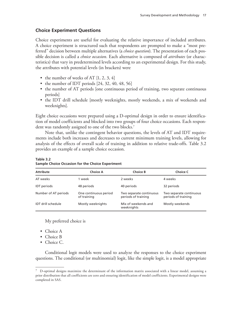## **Choice Experiment Questions**

Choice experiments are useful for evaluating the relative importance of included attributes. A choice experiment is structured such that respondents are prompted to make a "most preferred" decision between multiple alternatives (a *choice question*). The presentation of each possible decision is called a *choice occasion*. Each alternative is composed of *attributes* (or characteristics) that vary in predetermined levels according to an experimental design. For this study, the attributes with potential levels (in brackets) were

- the number of weeks of AT  $[1, 2, 3, 4]$
- the number of IDT periods [24, 32, 40, 48, 56]
- the number of AT periods [one continuous period of training, two separate continuous periods]
- the IDT drill schedule [mostly weeknights, mostly weekends, a mix of weekends and weeknights].

Eight choice occasions were prepared using a D-optimal design in order to ensure identification of model coefficients and blocked into two groups of four choice occasions. Each respondent was randomly assigned to one of the two blocks.<sup>7</sup>

Note that, unlike the contingent behavior questions, the levels of AT and IDT requirements include both increases and decreases to current minimum training levels, allowing for analysis of the effects of overall scale of training in addition to relative trade-offs. Table 3.2 provides an example of a sample choice occasion.

| <b>Attribute</b>          | <b>Choice A</b>                      | <b>Choice B</b>                                | Choice C                                       |
|---------------------------|--------------------------------------|------------------------------------------------|------------------------------------------------|
| AT weeks                  | 1 week                               | 2 weeks                                        | 4 weeks                                        |
| <b>IDT</b> periods        | 48 periods                           | 40 periods                                     | 32 periods                                     |
| Number of AT periods      | One continuous period<br>of training | Two separate continuous<br>periods of training | Two separate continuous<br>periods of training |
| <b>IDT</b> drill schedule | Mostly weeknights                    | Mix of weekends and<br>weeknights              | Mostly weekends                                |

**Table 3.2 Sample Choice Occasion for the Choice Experiment**

My preferred choice is

- Choice A
- Choice B
- Choice C.

Conditional logit models were used to analyze the responses to the choice experiment questions. The conditional (or multinomial) logit, like the simple logit, is a model appropriate

 $^7$  D-optimal designs maximize the determinant of the information matrix associated with a linear model, assuming a prior distribution that all coefficients are zero and ensuring identification of model coefficients. Experimental designs were completed in SAS.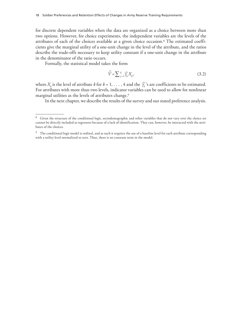for discrete dependent variables when the data are organized as a choice between more than two options. However, for choice experiments, the independent variables are the levels of the attributes of each of the choices available at a given choice occasion.8 The estimated coefficients give the marginal utility of a one-unit change in the level of the attribute, and the ratios describe the trade-offs necessary to keep utility constant if a one-unit change in the attribute in the denominator of the ratio occurs.

Formally, the statistical model takes the form

$$
\widehat{V} = \sum_{j=1}^{4} \widehat{\gamma_k} X_k, \tag{3.2}
$$

where  $X_k$  is the level of attribute  $k$  for  $k = 1, \ldots, 4$  and the  $\widehat{\gamma_k}$ 's are coefficients to be estimated. For attributes with more than two levels, indicator variables can be used to allow for nonlinear marginal utilities as the levels of attributes change.<sup>9</sup>

In the next chapter, we describe the results of the survey and our stated preference analysis.

<sup>&</sup>lt;sup>8</sup> Given the structure of the conditional logit, sociodemographic and other variables that do not vary over the choice set cannot be directly included as regressors because of a lack of identification. They can, however, be interacted with the attributes of the choices.

<sup>&</sup>lt;sup>9</sup> The conditional logit model is ordinal, and as such it requires the use of a baseline level for each attribute corresponding with a utility level normalized to zero. Thus, there is no constant term in the model.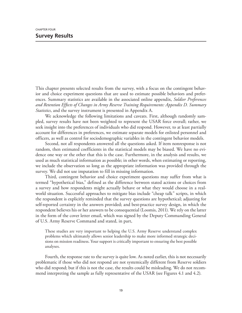This chapter presents selected results from the survey, with a focus on the contingent behavior and choice experiment questions that are used to estimate possible behaviors and preferences. Summary statistics are available in the associated online appendix, *Soldier Preferences and Retention Effects of Changes in Army Reserve Training Requirements: Appendix D. Summary Statistics*, and the survey instrument is presented in Appendix A.

We acknowledge the following limitations and caveats. First, although randomly sampled, survey results have not been weighted to represent the USAR force overall; rather, we seek insight into the preferences of individuals who did respond. However, to at least partially account for differences in preferences, we estimate separate models for enlisted personnel and officers, as well as control for sociodemographic variables in the contingent behavior models.

Second, not all respondents answered all the questions asked. If item nonresponse is not random, then estimated coefficients in the statistical models may be biased. We have no evidence one way or the other that this is the case. Furthermore, in the analysis and results, we used as much statistical information as possible; in other words, when estimating or reporting, we include the observation so long as the appropriate information was provided through the survey. We did not use imputation to fill in missing information.

Third, contingent behavior and choice experiment questions may suffer from what is termed "hypothetical bias," defined as the difference between stated actions or choices from a survey and how respondents might actually behave or what they would choose in a realworld situation. Successful approaches to mitigate bias include "cheap talk" scripts, in which the respondent is explicitly reminded that the survey questions are hypothetical; adjusting for self-reported certainty in the answers provided; and best-practice survey design, in which the respondent believes his or her answers to be consequential (Loomis, 2011). We rely on the latter in the form of the cover letter email, which was signed by the Deputy Commanding General of U.S. Army Reserve Command and stated, in part,

These studies are very important to helping the U.S. Army Reserve understand complex problems which ultimately allows senior leadership to make more informed strategic decisions on mission readiness. Your support is critically important to ensuring the best possible analyses.

Fourth, the response rate to the survey is quite low. As noted earlier, this is not necessarily problematic if those who did not respond are not systemically different from Reserve soldiers who did respond; but if this is not the case, the results could be misleading. We do not recommend interpreting the sample as fully representative of the USAR (see Figures 4.1 and 4.2).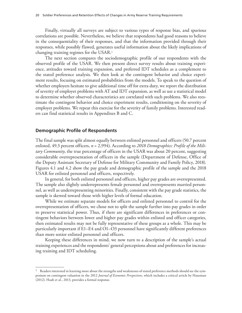Finally, virtually all surveys are subject to various types of response bias, and spurious correlations are possible. Nevertheless, we believe that respondents had good reasons to believe in the consequentiality of their responses, and that the information provided through their responses, while possibly flawed, generates useful information about the likely implications of changing training regimes for the USAR.1

The next section compares the sociodemographic profile of our respondents with the observed profile of the USAR. We then present direct survey results about training experience, attitudes toward training expansion, and preferred IDT schedules as a complement to the stated preference analysis. We then look at the contingent behavior and choice experiment results, focusing on estimated probabilities from the models. To speak to the question of whether employers hesitate to give additional time off for extra duty, we report the distribution of severity of employer problems with AT and IDT expansion, as well as use a statistical model to determine whether observed characteristics are correlated with such problems. We also reestimate the contingent behavior and choice experiment results, conditioning on the severity of employer problems. We repeat this exercise for the severity of family problems. Interested readers can find statistical results in Appendixes B and C.

#### **Demographic Profile of Respondents**

The final sample was split almost equally between enlisted personnel and officers (50.7 percent enlisted, 49.3 percent officers, *n* = 2,994). According to *2018 Demographics: Profile of the Military Community*, the true percentage of officers in the USAR was about 20 percent, suggesting considerable overrepresentation of officers in the sample (Department of Defense, Office of the Deputy Assistant Secretary of Defense for Military Community and Family Policy, 2018). Figures 4.1 and 4.2 show the pay grade and demographic profile of the sample and the 2018 USAR for enlisted personnel and officers, respectively.

In general, for both enlisted personnel and officers, higher pay grades are overrepresented. The sample also slightly underrepresents female personnel and overrepresents married personnel, as well as underrepresenting minorities. Finally, consistent with the pay grade statistics, the sample is skewed toward those with higher levels of formal education.

While we estimate separate models for officers and enlisted personnel to control for the overrepresentation of officers, we chose not to split the sample further into pay grades in order to preserve statistical power. Thus, if there are significant differences in preferences or contingent behaviors between lower and higher pay grades within enlisted and officer categories, then estimated results may not be fully representative of these groups as a whole. This may be particularly important if E1–E4 and O1–O3 personnel have significantly different preferences than more senior enlisted personnel and officers.

Keeping these differences in mind, we now turn to a description of the sample's actual training experiences and the respondents' general perceptions about and preferences for increasing training and IDT scheduling.

<sup>&</sup>lt;sup>1</sup> Readers interested in learning more about the strengths and weaknesses of stated preference methods should see the symposium on contingent valuation in the 2012 *Journal of Economic Perspectives*, which includes a critical article by Hausman (2012). Haab et al., 2013, provides a formal response.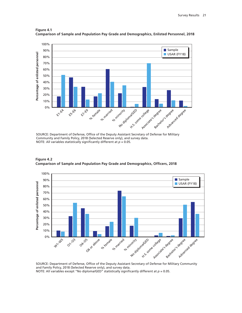

**Figure 4.1 Comparison of Sample and Population Pay Grade and Demographics, Enlisted Personnel, 2018**

SOURCE: Department of Defense, Office of the Deputy Assistant Secretary of Defense for Military Community and Family Policy, 2018 (Selected Reserve only), and survey data. NOTE: All variables statistically significantly different at *p* = 0.05.



**Figure 4.2 Comparison of Sample and Population Pay Grade and Demographics, Officers, 2018**

SOURCE: Department of Defense, Office of the Deputy Assistant Secretary of Defense for Military Community and Family Policy, 2018 (Selected Reserve only), and survey data. NOTE: All variables except "No diploma/GED" statistically significantly different at *p* = 0.05.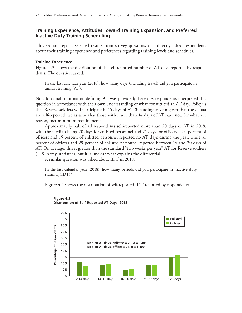# **Training Experience, Attitudes Toward Training Expansion, and Preferred Inactive Duty Training Scheduling**

This section reports selected results from survey questions that directly asked respondents about their training experience and preferences regarding training levels and schedules.

### **Training Experience**

Figure 4.3 shows the distribution of the self-reported number of AT days reported by respondents. The question asked,

In the last calendar year (2018), how many days (including travel) did you participate in annual training (AT)?

No additional information defining AT was provided; therefore, respondents interpreted this question in accordance with their own understanding of what constituted an AT day. Policy is that Reserve soldiers will participate in 15 days of AT (including travel); given that these data are self-reported, we assume that those with fewer than 14 days of AT have not, for whatever reason, met minimum requirements.

Approximately half of all respondents self-reported more than 20 days of AT in 2018, with the median being 20 days for enlisted personnel and 21 days for officers. Ten percent of officers and 15 percent of enlisted personnel reported no AT days during the year, while 31 percent of officers and 29 percent of enlisted personnel reported between 14 and 20 days of AT. On average, this is greater than the standard "two weeks per year" AT for Reserve soldiers (U.S. Army, undated), but it is unclear what explains the differential.

A similar question was asked about IDT in 2018:

In the last calendar year (2018), how many periods did you participate in inactive duty training (IDT)?

Figure 4.4 shows the distribution of self-reported IDT reported by respondents.



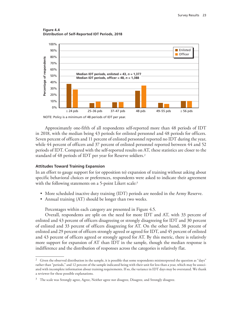**Figure 4.4 Distribution of Self-Reported IDT Periods, 2018**



Approximately one-fifth of all respondents self-reported more than 48 periods of IDT in 2018, with the median being 43 periods for enlisted personnel and 48 periods for officers. Seven percent of officers and 11 percent of enlisted personnel reported no IDT during the year, while 44 percent of officers and 37 percent of enlisted personnel reported between 44 and 52 periods of IDT. Compared with the self-reported results on AT, these statistics are closer to the standard of 48 periods of IDT per year for Reserve soldiers.2

### **Attitudes Toward Training Expansion**

In an effort to gauge support for (or opposition to) expansion of training without asking about specific behavioral choices or preferences, respondents were asked to indicate their agreement with the following statements on a 5-point Likert scale:<sup>3</sup>

- More scheduled inactive duty training (IDT) periods are needed in the Army Reserve.
- Annual training (AT) should be longer than two weeks.

Percentages within each category are presented in Figure 4.5.

Overall, respondents are split on the need for more IDT and AT, with 33 percent of enlisted and 43 percent of officers disagreeing or strongly disagreeing for IDT and 30 percent of enlisted and 33 percent of officers disagreeing for AT. On the other hand, 38 percent of enlisted and 29 percent of officers strongly agreed or agreed for IDT, and 45 percent of enlisted and 43 percent of officers agreed or strongly agreed for AT. By this metric, there is relatively more support for expansion of AT than IDT in the sample, though the median response is indifference and the distribution of responses across the categories is relatively flat.

<sup>&</sup>lt;sup>2</sup> Given the observed distribution in the sample, it is possible that some respondents misinterpreted the question as "days" rather than "periods," and 12 percent of the sample indicated being with their unit for less than a year, which may be associated with incomplete information about training requirements. If so, the variance in IDT days may be overstated. We thank a reviewer for these possible explanations.

<sup>&</sup>lt;sup>3</sup> The scale was Strongly agree, Agree, Neither agree nor disagree, Disagree, and Strongly disagree.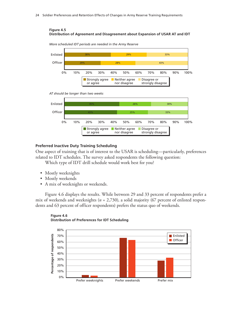### **Figure 4.5 Distribution of Agreement and Disagreement about Expansion of USAR AT and IDT**



*More scheduled IDT periods are needed in the Army Reserve*

*AT should be longer than two weeks*



### **Preferred Inactive Duty Training Scheduling**

One aspect of training that is of interest to the USAR is scheduling—particularly, preferences related to IDT schedules. The survey asked respondents the following question:

Which type of IDT drill schedule would work best for you?

- Mostly weeknights
- Mostly weekends
- A mix of weeknights or weekends.

Figure 4.6 displays the results. While between 29 and 33 percent of respondents prefer a mix of weekends and weeknights (*n* = 2,730), a solid majority (67 percent of enlisted respondents and 63 percent of officer respondents) prefers the status quo of weekends.



#### **Figure 4.6 Distribution of Preferences for IDT Scheduling**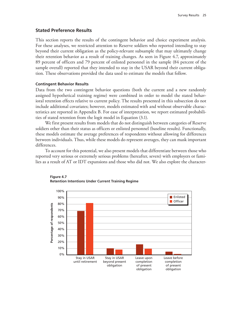### **Stated Preference Results**

This section reports the results of the contingent behavior and choice experiment analysis. For these analyses, we restricted attention to Reserve soldiers who reported intending to stay beyond their current obligation as the policy-relevant subsample that may ultimately change their retention behavior as a result of training changes. As seen in Figure 4.7, approximately 89 percent of officers and 79 percent of enlisted personnel in the sample (84 percent of the sample overall) reported that they intended to stay in the USAR beyond their current obligation. These observations provided the data used to estimate the models that follow.

#### **Contingent Behavior Results**

Data from the two contingent behavior questions (both the current and a new randomly assigned hypothetical training regime) were combined in order to model the stated behavioral retention effects relative to current policy. The results presented in this subsection do not include additional covariates; however, models estimated with and without observable characteristics are reported in Appendix B. For ease of interpretation, we report estimated probabilities of stated retention from the logit model in Equation (3.1).

We first present results from models that do not distinguish between categories of Reserve soldiers other than their status as officers or enlisted personnel (baseline results). Functionally, these models estimate the average preferences of respondents without allowing for differences between individuals. Thus, while these models do represent averages, they can mask important differences.

To account for this potential, we also present models that differentiate between those who reported very serious or extremely serious problems (hereafter, severe) with employers or families as a result of AT or IDT expansions and those who did not. We also explore the character-



#### **Figure 4.7 Retention Intentions Under Current Training Regime**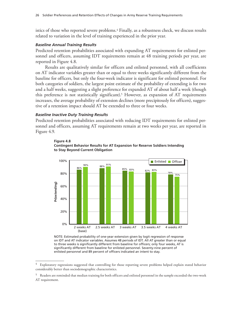istics of those who reported severe problems.<sup>4</sup> Finally, as a robustness check, we discuss results related to variation in the level of training experienced in the prior year.

#### *Baseline Annual Training Results*

Predicted retention probabilities associated with expanding AT requirements for enlisted personnel and officers, assuming IDT requirements remain at 48 training periods per year, are reported in Figure 4.8.

Results are qualitatively similar for officers and enlisted personnel, with all coefficients on AT indicator variables greater than or equal to three weeks significantly different from the baseline for officers, but only the four-week indicator is significant for enlisted personnel. For both categories of soldiers, the largest point estimate of the probability of extending is for two and a half weeks, suggesting a slight preference for expanded AT of about half a week (though this preference is not statistically significant).<sup>5</sup> However, as expansion of  $AT$  requirements increases, the average probability of extension declines (more precipitously for officers), suggestive of a retention impact should AT be extended to three or four weeks.

### *Baseline Inactive Duty Training Results*

Predicted retention probabilities associated with reducing IDT requirements for enlisted personnel and officers, assuming AT requirements remain at two weeks per year, are reported in Figure 4.9.





NOTE: Estimated probability of one-year extension given by logit regression of response on IDT and AT indicator variables. Assumes 48 periods of IDT. All AT greater than or equal to three weeks is significantly different from baseline for officers; only four weeks, AT is significantly different from baseline for enlisted personnel. Seventy-nine percent of<br>enlisted personnel and 89 percent of officers indicated an intent to stay.

<sup>4</sup> Exploratory regressions suggested that controlling for those reporting severe problems helped explain stated behavior considerably better than sociodemographic characteristics.

<sup>5</sup> Readers are reminded that median training for both officers and enlisted personnel in the sample exceeded the two-week AT requirement.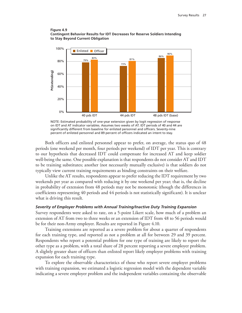



NOTE: Estimated probability of one-year extension given by logit regression of response on IDT and AT indicator variables. Assumes two weeks of AT. IDT periods of 40 and 44 are significantly different from baseline for enlisted personnel and officers. Seventy-nine

Both officers and enlisted personnel appear to prefer, on average, the status quo of 48 periods (one weekend per month, four periods per weekend) of IDT per year. This is contrary to our hypothesis that decreased IDT could compensate for increased AT and keep soldier well-being the same. One possible explanation is that respondents do not consider AT and IDT to be training substitutes; another (not necessarily mutually exclusive) is that soldiers do not typically view current training requirements as binding constraints on their welfare.

Unlike the AT results, respondents appear to prefer reducing the IDT requirement by two weekends per year as compared with reducing it by one weekend per year; that is, the decline in probability of extension from 48 periods may not be monotonic (though the differences in coefficients representing 40 periods and 44 periods is not statistically significant). It is unclear what is driving this result.

### *Severity of Employer Problems with Annual Training/Inactive Duty Training Expansion*

Survey respondents were asked to rate, on a 5-point Likert scale, how much of a problem an extension of AT from two to three weeks or an extension of IDT from 48 to 56 periods would be for their non-Army employer. Results are reported in Figure 4.10.

Training extensions are reported as a severe problem for about a quarter of respondents for each training type, and reported as not a problem at all for between 29 and 39 percent. Respondents who report a potential problem for one type of training are likely to report the other type as a problem, with a total share of 28 percent reporting a severe employer problem. A slightly greater share of officers than enlisted report likely employer problems with training expansion for each training type.

To explore the observable characteristics of those who report severe employer problems with training expansion, we estimated a logistic regression model with the dependent variable indicating a severe employer problem and the independent variables containing the observable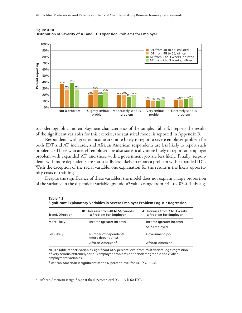

**Figure 4.10 Distribution of Severity of AT and IDT Expansion Problems for Employer**

sociodemographic and employment characteristics of the sample. Table 4.1 reports the results of the significant variables for this exercise; the statistical model is reported in Appendix B.

Respondents with greater income are more likely to report a severe employer problem for both IDT and AT increases, and African American respondents are less likely to report such problems.6 Those who are self-employed are also statistically more likely to report an employer problem with expanded AT, and those with a government job are less likely. Finally, respondents with more dependents are statistically less likely to report a problem with expanded IDT. With the exception of the racial variable, one explanation for the results is the likely opportunity costs of training.

Despite the significance of these variables, the model does not explain a large proportion of the variance in the dependent variable (pseudo  $R^2$  values range from .014 to .032). This sug-

| Significant Explanatory Variables in Severe Employer Problem Logistic Regression |                                                                     |                                                         |  |  |  |  |
|----------------------------------------------------------------------------------|---------------------------------------------------------------------|---------------------------------------------------------|--|--|--|--|
| <b>Trend/Direction</b>                                                           | <b>IDT Increase from 48 to 56 Periods</b><br>a Problem for Employer | AT Increase from 2 to 3 weeks<br>a Problem for Employer |  |  |  |  |
| More likely                                                                      | Income (greater income)                                             | Income (greater income)<br>Self-employed                |  |  |  |  |
| Less likely                                                                      | Number of dependents<br>(more dependents)                           | Government job                                          |  |  |  |  |
|                                                                                  | African American <sup>a</sup>                                       | African American                                        |  |  |  |  |

**Table 4.1**

NOTE: Table reports variables significant at 5-percent level from multivariate logit regression of very serious/extremely serious employer problems on sociodemographic and civilian employment variables.

a African American is significant at the 6-percent level for IDT (*t* = –1.94).

<sup>&</sup>lt;sup>6</sup> African American is significant at the 6-percent level  $(t = -1.94)$  for IDT.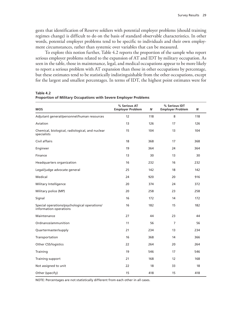gests that identification of Reserve soldiers with potential employer problems (should training regimes change) is difficult to do on the basis of standard observable characteristics. In other words, potential employer problems tend to be specific to individuals and their own employment circumstances, rather than systemic over variables that can be measured.

To explore this notion further, Table 4.2 reports the proportion of the sample who report serious employer problems related to the expansion of AT and IDT by military occupation. As seen in the table, those in maintenance, legal, and medical occupations appear to be more likely to report a serious problem with AT expansion than those in other occupations by percentage, but these estimates tend to be statistically indistinguishable from the other occupations, except for the largest and smallest percentages. In terms of IDT, the highest point estimates were for

| <b>MOS</b>                                                             | % Serious AT<br><b>Employer Problem</b> | Ν   | % Serious IDT<br><b>Employer Problem</b> | N   |
|------------------------------------------------------------------------|-----------------------------------------|-----|------------------------------------------|-----|
| Adjutant general/personnel/human resources                             | 12                                      | 118 | 8                                        | 118 |
| Aviation                                                               | 13                                      | 126 | 17                                       | 126 |
| Chemical, biological, radiological, and nuclear<br>specialists         | 15                                      | 104 | 13                                       | 104 |
| Civil affairs                                                          | 18                                      | 368 | 17                                       | 368 |
| Engineer                                                               | 19                                      | 364 | 24                                       | 364 |
| Finance                                                                | 13                                      | 30  | 13                                       | 30  |
| Headquarters organization                                              | 16                                      | 232 | 16                                       | 232 |
| Legal/judge advocate general                                           | 25                                      | 142 | 18                                       | 142 |
| Medical                                                                | 24                                      | 920 | 20                                       | 916 |
| Military Intelligence                                                  | 20                                      | 374 | 24                                       | 372 |
| Military police (MP)                                                   | 20                                      | 258 | 23                                       | 258 |
| Signal                                                                 | 16                                      | 172 | 14                                       | 172 |
| Special operations/psychological operations/<br>information operations | 16                                      | 182 | 15                                       | 182 |
| Maintenance                                                            | 27                                      | 44  | 23                                       | 44  |
| Ordnance/ammunition                                                    | 11                                      | 56  | 7                                        | 56  |
| Quartermaster/supply                                                   | 21                                      | 234 | 13                                       | 234 |
| Transportation                                                         | 16                                      | 368 | 14                                       | 366 |
| Other CSS/logistics                                                    | 22                                      | 264 | 20                                       | 264 |
| Training                                                               | 19                                      | 546 | 17                                       | 546 |
| Training support                                                       | 21                                      | 168 | 12                                       | 168 |
| Not assigned to unit                                                   | 22                                      | 18  | 33                                       | 18  |
| Other (specify)                                                        | 15                                      | 418 | 15                                       | 418 |

**Table 4.2 Proportion of Military Occupations with Severe Employer Problems**

NOTE: Percentages are not statistically different from each other in all cases.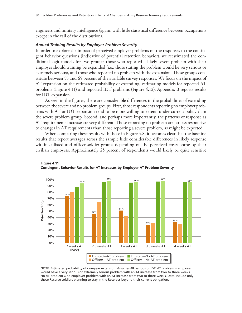engineers and military intelligence (again, with little statistical difference between occupations except in the tail of the distribution).

#### *Annual Training Results by Employer Problem Severity*

In order to explore the impact of perceived employer problems on the responses to the contingent behavior questions (indicative of potential retention behavior), we reestimated the conditional logit models for two groups: those who reported a likely severe problem with their employer should training be expanded (i.e., those stating the problem would be very serious or extremely serious), and those who reported no problem with the expansion. These groups constitute between 55 and 65 percent of the available survey responses. We focus on the impact of AT expansion on the estimated probability of extending, estimating models for reported AT problems (Figure 4.11) and reported IDT problems (Figure 4.12). Appendix B reports results for IDT expansion.

As seen in the figures, there are considerable differences in the probabilities of extending between the severe and no problem groups. First, those respondents reporting no employer problems with AT or IDT expansion tend to be more willing to extend under current policy than the severe problem group. Second, and perhaps more importantly, the patterns of response as AT requirements increase are very different. Those reporting no problem are far less responsive to changes in AT requirements than those reporting a severe problem, as might be expected.

When comparing these results with those in Figure 4.8, it becomes clear that the baseline results that report averages across the sample hide considerable differences in likely response within enlisted and officer soldier groups depending on the perceived costs borne by their civilian employers. Approximately 25 percent of respondents would likely be quite sensitive



**Figure 4.11 Contingent Behavior Results for AT Increases by Employer AT Problem Severity**

NOTE: Estimated probability of one-year extension. Assumes 48 periods of IDT. AT problem = employer would have a very serious or extremely serious problem with an AT increase from two to three weeks. No AT problem = no employer problem with an AT increase from two to three weeks. Data include only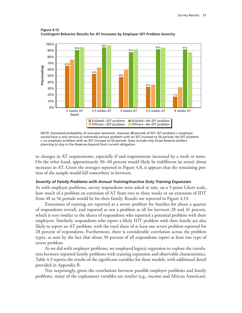

**Figure 4.12 Contingent Behavior Results for AT Increases by Employer IDT Problem Severity**

NOTE: Estimated probability of one-year extension. Assumes 48 periods of IDT. IDT problem = employer would have a very serious or extremely serious problem with an IDT increase to 56 periods. No IDT problem = no employer problem with an IDT increase to 56 periods. Data include only those Reserve soldiers

to changes in AT requirements, especially if said requirements increased by a week or more. On the other hand, approximately 30–40 percent would likely be indifferent (at worst) about increases in AT. Given the averages reported in Figure 4.8, it appears that the remaining portion of the sample would fall somewhere in between.

### *Severity of Family Problems with Annual Training/Inactive Duty Training Expansion*

As with employer problems, survey respondents were asked to rate, on a 5-point Likert scale, how much of a problem an extension of AT from two to three weeks or an extension of IDT from 48 to 56 periods would be for their family. Results are reported in Figure 4.13.

Extensions of training are reported as a severe problem for families for about a quarter of respondents overall, and reported as not a problem at all for between 28 and 41 percent, which is very similar to the shares of respondents who reported a potential problem with their employers. Similarly, respondents who report a likely IDT problem with their family are also likely to report an AT problem, with the total share of at least one severe problem reported for 28 percent of respondents. Furthermore, there is considerable correlation across the problem types, as seen by the fact that about 30 percent of all respondents report at least one type of severe problem.

As we did with employer problems, we employed logistic regression to explore the correlation between reported family problems with training expansion and observable characteristics. Table 4.3 reports the results of the significant variables for these models, with additional detail provided in Appendix B.

Not surprisingly, given the correlations between possible employer problems and family problems, many of the explanatory variables are similar (e.g., income and African American).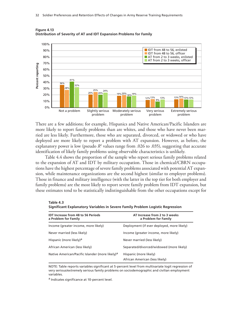

**Figure 4.13 Distribution of Severity of AT and IDT Expansion Problems for Family**

There are a few additions; for example, Hispanics and Native American/Pacific Islanders are more likely to report family problems than are whites, and those who have never been married are less likely. Furthermore, those who are separated, divorced, or widowed or who have deployed are more likely to report a problem with AT expansion. However, as before, the explanatory power is low (pseudo  $R^2$  values range from .026 to .035), suggesting that accurate identification of likely family problems using observable characteristics is unlikely.

Table 4.4 shows the proportion of the sample who report serious family problems related to the expansion of AT and IDT by military occupation. Those in chemical/CBRN occupations have the highest percentage of severe family problems associated with potential AT expansion, while maintenance organizations are the second highest (similar to employer problems). Those in finance and military intelligence (with the latter in the top tier for both employer and family problems) are the most likely to report severe family problem from IDT expansion, but these estimates tend to be statistically indistinguishable from the other occupations except for

| Table 4.3                                                                      |  |
|--------------------------------------------------------------------------------|--|
| Significant Explanatory Variables in Severe Family Problem Logistic Regression |  |

| <b>IDT Increase from 48 to 56 Periods</b><br>a Problem for Family | AT Increase from 2 to 3 weeks<br>a Problem for Family    |
|-------------------------------------------------------------------|----------------------------------------------------------|
| Income (greater income, more likely)                              | Deployment (if ever deployed, more likely)               |
| Never married (less likely)                                       | Income (greater income, more likely)                     |
| Hispanic (more likely) <sup>a</sup>                               | Never married (less likely)                              |
| African American (less likely)                                    | Separated/divorced/widowed (more likely)                 |
| Native American/Pacific Islander (more likely) <sup>a</sup>       | Hispanic (more likely)<br>African American (less likely) |

NOTE: Table reports variables significant at 5-percent level from multivariate logit regression of very serious/extremely serious family problems on sociodemographic and civilian employment variables.

a Indicates significance at 10-percent level.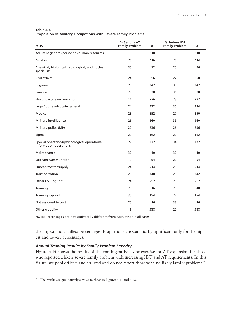| Table 4.4                                                             |  |  |
|-----------------------------------------------------------------------|--|--|
| <b>Proportion of Military Occupations with Severe Family Problems</b> |  |  |

| <b>MOS</b>                                                             | % Serious AT<br><b>Family Problem</b> | N   | % Serious IDT<br><b>Family Problem</b> | N   |
|------------------------------------------------------------------------|---------------------------------------|-----|----------------------------------------|-----|
| Adjutant general/personnel/human resources                             | 8                                     | 118 | 15                                     | 118 |
| Aviation                                                               | 26                                    | 116 | 26                                     | 114 |
| Chemical, biological, radiological, and nuclear<br>specialists         | 35                                    | 92  | 25                                     | 96  |
| Civil affairs                                                          | 24                                    | 356 | 27                                     | 358 |
| Engineer                                                               | 25                                    | 342 | 33                                     | 342 |
| Finance                                                                | 29                                    | 28  | 36                                     | 28  |
| Headquarters organization                                              | 16                                    | 226 | 23                                     | 222 |
| Legal/judge advocate general                                           | 24                                    | 132 | 30                                     | 134 |
| Medical                                                                | 28                                    | 852 | 27                                     | 850 |
| Military intelligence                                                  | 26                                    | 360 | 35                                     | 360 |
| Military police (MP)                                                   | 20                                    | 236 | 26                                     | 236 |
| Signal                                                                 | 22                                    | 162 | 20                                     | 162 |
| Special operations/psychological operations/<br>information operations | 27                                    | 172 | 34                                     | 172 |
| Maintenance                                                            | 30                                    | 40  | 30                                     | 40  |
| Ordnance/ammunition                                                    | 19                                    | 54  | 22                                     | 54  |
| Quartermaster/supply                                                   | 24                                    | 214 | 23                                     | 214 |
| Transportation                                                         | 26                                    | 340 | 25                                     | 342 |
| <b>Other CSS/logistics</b>                                             | 24                                    | 252 | 25                                     | 252 |
| Training                                                               | 23                                    | 516 | 25                                     | 518 |
| Training support                                                       | 30                                    | 154 | 27                                     | 154 |
| Not assigned to unit                                                   | 25                                    | 16  | 38                                     | 16  |
| Other (specify)                                                        | 16                                    | 388 | 20                                     | 388 |

NOTE: Percentages are not statistically different from each other in all cases.

the largest and smallest percentages. Proportions are statistically significant only for the highest and lowest percentages.

## *Annual Training Results by Family Problem Severity*

Figure 4.14 shows the results of the contingent behavior exercise for AT expansion for those who reported a likely severe family problem with increasing IDT and AT requirements. In this figure, we pool officers and enlisted and do not report those with no likely family problems.<sup>7</sup>

 $^7\;$  The results are qualitatively similar to those in Figures 4.11 and 4.12.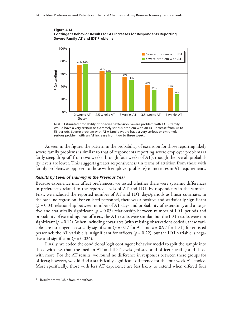



NOTE: Estimated probability of one-year extension. Severe problem with IDT = family would have a very serious or extremely serious problem with an IDT increase from 48 to 56 periods. Severe problem with AT = family would have a very serious or extremely

As seen in the figure, the pattern in the probability of extension for those reporting likely severe family problems is similar to that of respondents reporting severe employer problems (a fairly steep drop-off from two weeks through four weeks of AT), though the overall probability levels are lower. This suggests greater responsiveness (in terms of attrition from those with family problems as opposed to those with employer problems) to increases in AT requirements.

#### *Results by Level of Training in the Previous Year*

Because experience may affect preferences, we tested whether there were systemic differences in preferences related to the reported levels of AT and IDT by respondents in the sample.<sup>8</sup> First, we included the reported number of AT and IDT days/periods as linear covariates in the baseline regression. For enlisted personnel, there was a positive and statistically significant  $(p = 0.03)$  relationship between number of AT days and probability of extending, and a negative and statistically significant ( $p = 0.03$ ) relationship between number of IDT periods and probability of extending. For officers, the AT results were similar, but the IDT results were not significant ( $p = 0.12$ ). When including covariates (with missing observations coded), these variables are no longer statistically significant ( $p = 0.17$  for AT and  $p = 0.97$  for IDT) for enlisted personnel; the AT variable is insignificant for officers ( $p = 0.22$ ), but the IDT variable is negative and significant ( $p = 0.024$ ).

Finally, we coded the conditional logit contingent behavior model to split the sample into those with less than the median AT and IDT levels (enlisted and officer specific) and those with more. For the AT results, we found no difference in responses between these groups for officers; however, we did find a statistically significant difference for the four-week AT choice. More specifically, those with less AT experience are less likely to extend when offered four

<sup>8</sup> Results are available from the authors.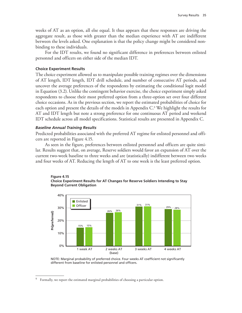weeks of AT as an option, all else equal. It thus appears that these responses are driving the aggregate result, as those with greater than the median experience with AT are indifferent between the levels asked. One explanation is that the policy change might be considered nonbinding to these individuals.

For the IDT results, we found no significant difference in preferences between enlisted personnel and officers on either side of the median IDT.

#### **Choice Experiment Results**

The choice experiment allowed us to manipulate possible training regimes over the dimensions of AT length, IDT length, IDT drill schedule, and number of consecutive AT periods, and uncover the average preferences of the respondents by estimating the conditional logit model in Equation (3.2). Unlike the contingent behavior exercise, the choice experiment simply asked respondents to choose their most preferred option from a three-option set over four different choice occasions. As in the previous section, we report the estimated probabilities of choice for each option and present the details of the models in Appendix C.9 We highlight the results for AT and IDT length but note a strong preference for one continuous AT period and weekend IDT schedule across all model specifications. Statistical results are presented in Appendix C.

#### *Baseline Annual Training Results*

Predicted probabilities associated with the preferred AT regime for enlisted personnel and officers are reported in Figure 4.15.

As seen in the figure, preferences between enlisted personnel and officers are quite similar. Results suggest that, on average, Reserve soldiers would favor an expansion of AT over the current two-week baseline to three weeks and are (statistically) indifferent between two weeks and four weeks of AT. Reducing the length of AT to one week is the least preferred option.





NOTE: Marginal probability of preferred choice. Four weeks AT coefficient not significantly

<sup>&</sup>lt;sup>9</sup> Formally, we report the estimated marginal probabilities of choosing a particular option.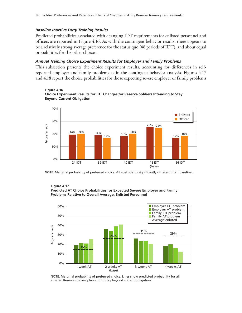### *Baseline Inactive Duty Training Results*

Predicted probabilities associated with changing IDT requirements for enlisted personnel and officers are reported in Figure 4.16. As with the contingent behavior results, there appears to be a relatively strong average preference for the status quo (48 periods of IDT), and about equal probabilities for the other choices.

### *Annual Training Choice Experiment Results for Employer and Family Problems*

This subsection presents the choice experiment results, accounting for differences in selfreported employer and family problems as in the contingent behavior analysis. Figures 4.17 and 4.18 report the choice probabilities for those expecting severe employer or family problems





#### **Figure 4.17 Predicted AT Choice Probabilities for Expected Severe Employer and Family Problems Relative to Overall Average, Enlisted Personnel**



NOTE: Marginal probability of preferred choice. Lines show predicted probability for all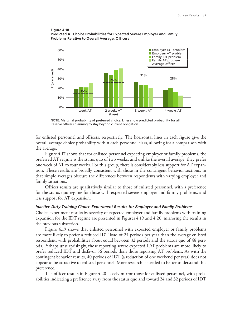### **Figure 4.18 Predicted AT Choice Probabilities for Expected Severe Employer and Family Problems Relative to Overall Average, Officers**



NOTE: Marginal probability of preferred choice. Lines show predicted probability for all

for enlisted personnel and officers, respectively. The horizontal lines in each figure give the overall average choice probability within each personnel class, allowing for a comparison with the average.

Figure 4.17 shows that for enlisted personnel expecting employer or family problems, the preferred AT regime is the status quo of two weeks, and unlike the overall average, they prefer one week of AT to four weeks. For this group, there is considerably less support for AT expansion. These results are broadly consistent with those in the contingent behavior sections, in that simple averages obscure the differences between respondents with varying employer and family situations.

Officer results are qualitatively similar to those of enlisted personnel, with a preference for the status quo regime for those with expected severe employer and family problems, and less support for AT expansion.

### *Inactive Duty Training Choice Experiment Results for Employer and Family Problems*

Choice experiment results by severity of expected employer and family problems with training expansion for the IDT regime are presented in Figures 4.19 and 4.20, mirroring the results in the previous subsection.

Figure 4.19 shows that enlisted personnel with expected employer or family problems are more likely to prefer a reduced IDT load of 24 periods per year than the average enlisted respondent, with probabilities about equal between 32 periods and the status quo of 48 periods. Perhaps unsurprisingly, those reporting severe expected IDT problems are more likely to prefer reduced IDT and disfavor 56 periods than those reporting AT problems. As with the contingent behavior results, 40 periods of IDT (a reduction of one weekend per year) does not appear to be attractive to enlisted personnel. More research is needed to better understand this preference.

The officer results in Figure 4.20 closely mirror those for enlisted personnel, with probabilities indicating a preference away from the status quo and toward 24 and 32 periods of IDT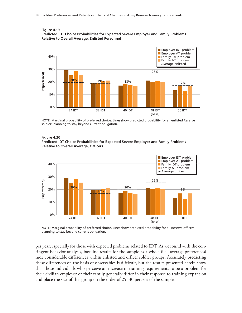



NOTE: Marginal probability of preferred choice. Lines show predicted probability for all enlisted Reserve<br>soldiers planning to stay beyond current obligation.

#### **Figure 4.20 Predicted IDT Choice Probabilities for Expected Severe Employer and Family Problems Relative to Overall Average, Officers**



NOTE: Marginal probability of preferred choice. Lines show predicted probability for all Reserve officers

per year, especially for those with expected problems related to IDT. As we found with the contingent behavior analysis, baseline results for the sample as a whole (i.e., average preferences) hide considerable differences within enlisted and officer soldier groups. Accurately predicting these differences on the basis of observables is difficult, but the results presented herein show that those individuals who perceive an increase in training requirements to be a problem for their civilian employer or their family generally differ in their response to training expansion and place the size of this group on the order of 25–30 percent of the sample.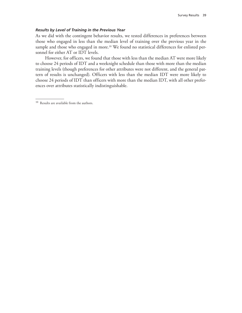### *Results by Level of Training in the Previous Year*

As we did with the contingent behavior results, we tested differences in preferences between those who engaged in less than the median level of training over the previous year in the sample and those who engaged in more.<sup>10</sup> We found no statistical differences for enlisted personnel for either AT or IDT levels.

However, for officers, we found that those with less than the median AT were more likely to choose 24 periods of IDT and a weeknight schedule than those with more than the median training levels (though preferences for other attributes were not different, and the general pattern of results is unchanged). Officers with less than the median IDT were more likely to choose 24 periods of IDT than officers with more than the median IDT, with all other preferences over attributes statistically indistinguishable.

<sup>10</sup> Results are available from the authors.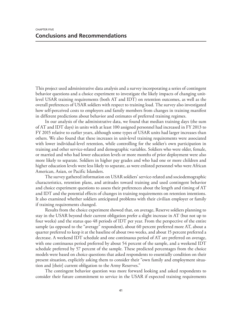This project used administrative data analysis and a survey incorporating a series of contingent behavior questions and a choice experiment to investigate the likely impacts of changing unitlevel USAR training requirements (both AT and IDT) on retention outcomes, as well as the overall preferences of USAR soldiers with respect to training load. The survey also investigated how self-perceived costs to employers and family members from changes in training manifest in different predictions about behavior and estimates of preferred training regimes.

In our analysis of the administrative data, we found that median training days (the sum of AT and IDT days) in units with at least 100 assigned personnel had increased in FY 2013 to FY 2015 relative to earlier years, although some types of USAR units had larger increases than others. We also found that these increases in unit-level training requirements were associated with lower individual-level retention, while controlling for the soldier's own participation in training and other service-related and demographic variables. Soldiers who were older, female, or married and who had lower education levels or more months of prior deployment were also more likely to separate. Soldiers in higher pay grades and who had one or more children and higher education levels were less likely to separate, as were enlisted personnel who were African American, Asian, or Pacific Islanders.

The survey gathered information on USAR soldiers' service-related and sociodemographic characteristics, retention plans, and attitudes toward training and used contingent behavior and choice experiment questions to assess their preferences about the length and timing of AT and IDT and the potential effects of changes in training requirements on retention intentions. It also examined whether soldiers anticipated problems with their civilian employer or family if training requirements changed.

Results from the choice experiment showed that, on average, Reserve soldiers planning to stay in the USAR beyond their current obligation prefer a slight increase in AT (but not up to four weeks) and the status quo 48 periods of IDT per year. From the perspective of the entire sample (as opposed to the "average" respondent), about 60 percent preferred more AT, about a quarter preferred to keep it at the baseline of about two weeks, and about 15 percent preferred a decrease. A weekend IDT schedule and one continuous period of AT are preferred on average, with one continuous period preferred by about 54 percent of the sample, and a weekend IDT schedule preferred by 57 percent of the sample. These predicted percentages from the choice models were based on choice questions that asked respondents to essentially condition on their present situation, explicitly asking them to consider their "own family and employment situation and [their] current obligation to the Army Reserves."

The contingent behavior question was more forward looking and asked respondents to consider their future commitment to service in the USAR if expected training requirements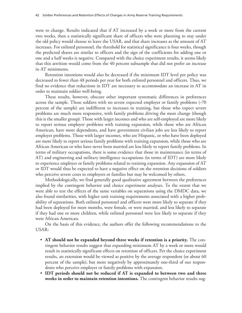were to change. Results indicated that if AT increased by a week or more from the current two weeks, then a statistically significant share of officers who were planning to stay under the old policy would choose to leave the USAR, and that share increases as the amount of AT increases. For enlisted personnel, the threshold for statistical significance is four weeks, though the predicted shares are similar to officers and the sign of the coefficients for adding one or one and a half weeks is negative. Compared with the choice experiment results, it seems likely that this attrition would come from the 40 percent subsample that did not prefer an increase in AT minimums.

Retention intentions would also be decreased if the minimum IDT level per policy was decreased to fewer than 48 periods per year for both enlisted personnel and officers. Thus, we find no evidence that reductions in IDT are necessary to accommodate an increase in AT in order to maintain soldier well-being.

These results, however, obscure other important systematic differences in preferences across the sample. Those soldiers with no severe expected employer or family problems (-70) percent of the sample) are indifferent to increases in training, but those who expect severe problems are much more responsive, with family problems driving the most change (though this is the smaller group). Those with larger incomes and who are self-employed are more likely to report serious employer problems with training expansion, while those who are African American, have more dependents, and have government civilian jobs are less likely to report employer problems. Those with larger incomes, who are Hispanic, or who have been deployed are more likely to report serious family problems with training expansion, while those who are African American or who have never been married are less likely to report family problems. In terms of military occupations, there is some evidence that those in maintenance (in terms of AT) and engineering and military intelligence occupations (in terms of IDT) are more likely to experience employer or family problems related to training expansion. Any expansion of AT or IDT would thus be expected to have a negative effect on the retention decisions of soldiers who perceive severe costs to employers or families but may be welcomed by others.

Methodologically, we find generally good qualitative agreement between the preferences implied by the contingent behavior and choice experiment analyses. To the extent that we were able to test the effects of the same variables on separations using the DMDC data, we also found similarities, with higher unit training requirements associated with a higher probability of separations. Both enlisted personnel and officers were more likely to separate if they had been deployed for more months, were female, or were married, and less likely to separate if they had one or more children, while enlisted personnel were less likely to separate if they were African American.

On the basis of this evidence, the authors offer the following recommendations to the USAR:

- **AT should not be expanded beyond three weeks if retention is a priority.** The contingent behavior results suggest that expanding minimum AT by a week or more would result in statistically significant effects on retention of officers. Per the choice experiment results, an extension would be viewed as positive by the average respondent (or about 60 percent of the sample), but more negatively by approximately one-third of our respondents who perceive employer or family problems with expansion.
- **IDT periods should not be reduced if AT is expanded to between two and three weeks in order to maintain retention intentions.** The contingent behavior results sug-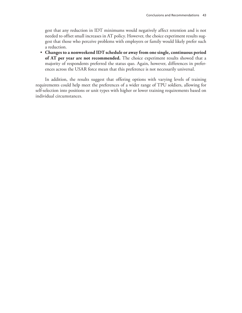gest that any reduction in IDT minimums would negatively affect retention and is not needed to offset small increases in AT policy. However, the choice experiment results suggest that those who perceive problems with employers or family would likely prefer such a reduction.

• **Changes to a nonweekend IDT schedule or away from one single, continuous period of AT per year are not recommended.** The choice experiment results showed that a majority of respondents preferred the status quo. Again, however, differences in preferences across the USAR force mean that this preference is not necessarily universal.

In addition, the results suggest that offering options with varying levels of training requirements could help meet the preferences of a wider range of TPU soldiers, allowing for self-selection into positions or unit types with higher or lower training requirements based on individual circumstances.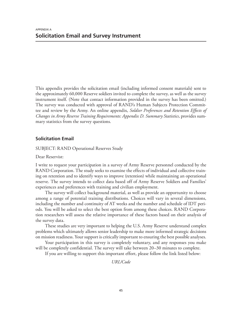This appendix provides the solicitation email (including informed consent materials) sent to the approximately 60,000 Reserve soldiers invited to complete the survey, as well as the survey instrument itself. (Note that contact information provided in the survey has been omitted.) The survey was conducted with approval of RAND's Human Subjects Protection Committee and review by the Army. An online appendix, *Soldier Preferences and Retention Effects of Changes in Army Reserve Training Requirements: Appendix D. Summary Statistics*, provides summary statistics from the survey questions.

# **Solicitation Email**

SUBJECT: RAND Operational Reserves Study

Dear Reservist:

I write to request your participation in a survey of Army Reserve personnel conducted by the RAND Corporation. The study seeks to examine the effects of individual and collective training on retention and to identify ways to improve (retention) while maintaining an operational reserve. The survey intends to collect data based off of Army Reserve Soldiers and Families' experiences and preferences with training and civilian employment.

The survey will collect background material, as well as provide an opportunity to choose among a range of potential training distributions. Choices will vary in several dimensions, including the number and continuity of AT weeks and the number and schedule of IDT periods. You will be asked to select the best option from among these choices. RAND Corporation researchers will assess the relative importance of these factors based on their analysis of the survey data.

These studies are very important to helping the U.S. Army Reserve understand complex problems which ultimately allows senior leadership to make more informed strategic decisions on mission readiness. Your support is critically important to ensuring the best possible analyses.

Your participation in this survey is completely voluntary, and any responses you make will be completely confidential. The survey will take between 20–30 minutes to complete.

If you are willing to support this important effort, please follow the link listed below:

*URL/Code*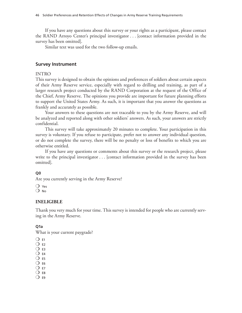If you have any questions about this survey or your rights as a participant, please contact the RAND Arroyo Center's principal investigator . . . [contact information provided in the survey has been omitted].

Similar text was used for the two follow-up emails.

## **Survey Instrument**

### INTRO

This survey is designed to obtain the opinions and preferences of soldiers about certain aspects of their Army Reserve service, especially with regard to drilling and training, as part of a larger research project conducted by the RAND Corporation at the request of the Office of the Chief, Army Reserve. The opinions you provide are important for future planning efforts to support the United States Army. As such, it is important that you answer the questions as frankly and accurately as possible.

Your answers to these questions are not traceable to you by the Army Reserve, and will be analyzed and reported along with other soldiers' answers. As such, your answers are strictly confidential.

This survey will take approximately 20 minutes to complete. Your participation in this survey is voluntary. If you refuse to participate, prefer not to answer any individual question, or do not complete the survey, there will be no penalty or loss of benefits to which you are otherwise entitled.

If you have any questions or comments about this survey or the research project, please write to the principal investigator . . . [contact information provided in the survey has been omitted].

## **Q0**

Are you currently serving in the Army Reserve?

 $\bigcirc$  Yes  $O$  No

## **INELIGIBLE**

Thank you very much for your time. This survey is intended for people who are currently serving in the Army Reserve.

## **Q1a**

What is your current paygrade?

- $O$  E1
- $\Omega$  F<sub>2</sub>
- $\overline{O}$  E3
- $\bigcirc$  E4  $\overline{O}$  E5
- $\overline{O}$  E6
- $O$  E7
- $\bigcirc$  E8
- $\overline{O}$  E9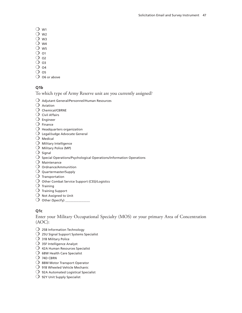- $\bigcirc$  w<sub>1</sub>
- $\bigcirc$  w<sub>2</sub>
- $\overline{O}$  W3
- $\overline{O}$  W4
- $\overline{O}$  W<sub>5</sub>
- $\overline{O}$  o1
- $\Omega$  o<sub>2</sub>
- $\overline{O}$  O3
- $O$  04
- $\overline{O}$  os
- $\bigcirc$  O6 or above

## **Q1b**

- To which type of Army Reserve unit are you currently assigned?
- $O$  Adjutant General/Personnel/Human Resources
- $\bigcirc$  Aviation
- $\bigcirc$  Chemical/CBRNE
- $\bigcirc$  Civil Affairs
- $O$  Engineer
- $\bigcirc$  Finance
- $\bigcirc$  Headquarters organization
- $\bigcirc$  Legal/Judge Advocate General
- $\bigcirc$  Medical
- $O$  Military Intelligence
- $\bigcirc$  Military Police (MP)
- $\bigcirc$  Signal
- $\bigcirc$  Special Operations/Psychological Operations/Information Operations
- $O$  Maintenance
- $O$  Ordnance/Ammunition
- $O$  Quartermaster/Supply
- $\bigcirc$  Transportation
- $\bigcirc$  Other Combat Service Support (CSS)/Logistics
- $\bigcirc$  Training
- $\bigcirc$  Training Support
- $O$  Not Assigned to Unit
- $\bigcirc$  Other (Specify) \_

## **Q1c**

Enter your Military Occupational Specialty (MOS) or your primary Area of Concentration (AOC):

- $\bigcirc$  25B Information Technology
- $\overline{O}$  25U Signal Support Systems Specialist
- $O$  31B Military Police
- $\bigcirc$  35F Intelligence Analyst
- $\bigcirc$  42A Human Resources Specialist
- $\bigcirc$  68W Health Care Specialist
- $\bigcirc$  74D CBRN
- $\bigcirc$  88M Motor Transport Operator
- $\bigcirc$  91B Wheeled Vehicle Mechanic
- $\bigcirc$  92A Automated Logistical Specialist
- $\bigcirc$  92Y Unit Supply Specialist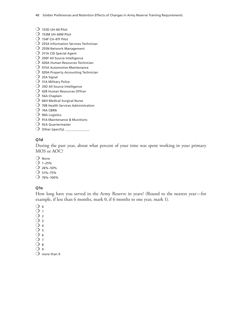48 Soldier Preferences and Retention Effects of Changes in Army Reserve Training Requirements

- $\bigcirc$  153D UH-60 Pilot
- $O$  153M UH-60M Pilot
- $O$  154F CH-47F Pilot
- $O$  255A Information Services Technician
- $\bigcirc$  255N Network Management
- $\bigcirc$  311A CID Special Agent
- $\bigcirc$  350F All Source Intelligence
- $O$  420A Human Resources Technician
- $O$  915A Automotive Maintenance
- $O$  920A Property Accounting Technician
- $O$  25A Signal
- $O$  31A Military Police
- $\bigcirc$  35D All Source Intelligence
- $\bigcirc$  42B Human Resources Officer
- $\bigcirc$  56A Chaplain
- $\bigcirc$  66H Medical-Surgical Nurse
- $\bigcirc$  70B Health Services Administration
- $\bigcirc$  74A CBRN
- $\bigcirc$  90A Logistics
- $O$  91A Maintenance & Munitions
- $\bigcirc$  92A Quartermaster
- $\bigcirc$  Other (specify)  $\_$

## **Q1d**

During the past year, about what percent of your time was spent working in your primary MOS or AOC?

- $O$  None
- $O$  1–25%
- $O$  26%–50%
- $O$  51%–75%
- $O$  76%–100%

### **Q1e**

How long have you served in the Army Reserve in years? (Round to the nearest year—for example, if less than 6 months, mark 0, if 6 months to one year, mark 1).

 $\bigcirc$  0

- $\bigcirc$  1
- $O<sub>2</sub>$
- $\Omega$  3
- $\bigcirc$  4
- $\bigcirc$  5  $\bigcirc$  6
- $O<sub>7</sub>$
- $Q_8$
- $\Omega$  9
- $\bigcirc$  more than 9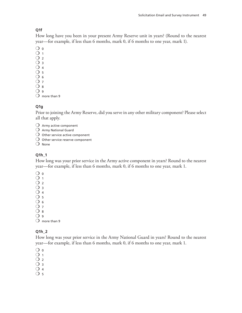## **Q1f**

How long have you been in your present Army Reserve unit in years? (Round to the nearest year—for example, if less than 6 months, mark 0, if 6 months to one year, mark 1).

 $\overline{O}$  0  $\overline{O}$  1  $\overline{O}$  2  $\overline{O}$  3  $\bigcirc$  4  $\bigcirc$  5  $\bigcirc$  6  $\overline{O}$  7  $\overline{O}$  8  $Q_{9}$ 

 $\bigcirc$  more than 9

## **Q1g**

Prior to joining the Army Reserve, did you serve in any other military component? Please select all that apply.

- $O$  Army active component
- $\bigcirc$  Army National Guard
- $\bigcirc$  Other service active component
- $\bigcirc$  Other service reserve component
- $\Omega$  None

# **Q1h\_1**

How long was your prior service in the Army active component in years? Round to the nearest year—for example, if less than 6 months, mark 0, if 6 months to one year, mark 1.

- $\bigcirc$  0
- $\bigcirc$  1
- $\overline{O}$  2
- $\overline{O}$  3
- $\bigcirc$  4
- $\overline{O}$  5  $\overline{O}$  6
- $O<sub>7</sub>$
- $O_8$
- $\Omega$  9

 $O$  more than 9

## **Q1h\_2**

How long was your prior service in the Army National Guard in years? Round to the nearest year—for example, if less than 6 months, mark 0, if 6 months to one year, mark 1.

 $\bigcirc$  0

- $\bigcirc$  1
- $\overline{O}$  2
- $\overline{O}$  3
- $\bigcirc$  4
- $O<sub>5</sub>$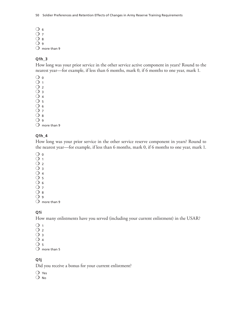$\bigcirc$  6 O 7  $\overline{O}$  8  $Q_9$  $\overline{O}$  more than 9

## **Q1h\_3**

How long was your prior service in the other service active component in years? Round to the nearest year—for example, if less than 6 months, mark 0, if 6 months to one year, mark 1.

 $\bigcirc$  0  $\bigcirc$  1  $\overline{O}$  2  $\overline{O}$  3

 $\bigcirc$  4

 $\overline{O}$  5

 $\bigcirc$  6

 $O<sub>7</sub>$ 

 $O_8$ 

 $O<sub>9</sub>$ 

 $\bigcirc$  more than 9

## **Q1h\_4**

How long was your prior service in the other service reserve component in years? Round to the nearest year—for example, if less than 6 months, mark 0, if 6 months to one year, mark 1.

 $\bigcirc$  0  $O<sub>1</sub>$ 

 $Q_2$  $O_3$  $\overline{O}$  4  $\bigcirc$  5  $\overline{O}$  6  $O<sub>7</sub>$  $Q_8$ 

 $Q_{9}$  $\Omega$  more than 9

## **Q1i**

How many enlistments have you served (including your current enlistment) in the USAR?

 $\bigcirc$  1

 $\overline{O}$  2

 $\overline{O}$  3

 $\overline{O}$  4

 $\Omega$  5

 $\bigcirc$  more than 5

## **Q1j**

Did you receive a bonus for your current enlistment?

 $\overline{O}$  Yes  $O$  No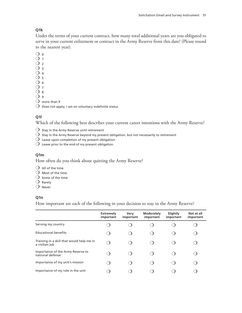## **Q1k**

Under the terms of your current contract, how many total additional years are you obligated to serve in your current enlistment or contract in the Army Reserve from this date? (Please round to the nearest year).

 $\bigcirc$  0  $\overline{O}$  1  $O<sub>2</sub>$  $\Omega$  3

- $\bigcirc$  4
- $\bigcirc$  5
- $\bigcirc$  6
- $O<sub>7</sub>$

 $O_8$ 

- $Q_{9}$
- $\Omega$  more than 9

 $\bigcirc$  Does not apply; I am on voluntary indefinite status

# **Q1l**

Which of the following best describes your current career intentions with the Army Reserve?

- $\overline{O}$  Stay in the Army Reserve until retirement
- $\bigcirc$  Stay in the Army Reserve beyond my present obligation, but not necessarily to retirement
- $\overline{O}$  Leave upon completion of my present obligation
- $\overline{O}$  Leave prior to the end of my present obligation

## **Q1m**

How often do you think about quitting the Army Reserve?

- $\Omega$  All of the time
- $\Omega$  Most of the time
- $\Omega$  Some of the time
- $\bigcirc$  Rarely
- $O$  Never

## **Q1n**

How important are each of the following in your decision to stay in the Army Reserve?

|                                                             | <b>Extremely</b><br>important                 | Very<br>important | <b>Moderately</b><br>important | Slightly<br>important | Not at all<br>important |
|-------------------------------------------------------------|-----------------------------------------------|-------------------|--------------------------------|-----------------------|-------------------------|
| Serving my country                                          |                                               |                   |                                |                       |                         |
| Educational benefits                                        | . .                                           |                   |                                |                       |                         |
| Training in a skill that would help me in<br>a civilian job | $\left( \begin{array}{c} \end{array} \right)$ |                   |                                |                       |                         |
| Importance of the Army Reserve to<br>national defense       |                                               |                   |                                |                       |                         |
| Importance of my unit's mission                             |                                               |                   |                                |                       |                         |
| Importance of my role in the unit                           |                                               |                   |                                |                       |                         |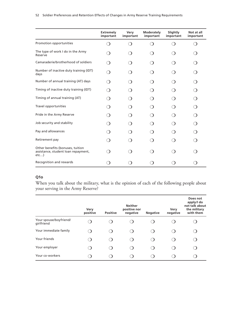|                                                                                | <b>Extremely</b><br>important | Very<br>important | Moderately<br>important         | Slightly<br>important | Not at all<br>important |
|--------------------------------------------------------------------------------|-------------------------------|-------------------|---------------------------------|-----------------------|-------------------------|
| Promotion opportunities                                                        | ⌒                             | ◯                 | $\left(\begin{array}{c}\right)$ |                       | ( )                     |
| The type of work I do in the Army<br>Reserve                                   |                               |                   |                                 |                       |                         |
| Camaraderie/brotherhood of soldiers                                            |                               | ົາ                |                                 |                       |                         |
| Number of inactive duty training (IDT)<br>days                                 | ົ                             |                   |                                 |                       |                         |
| Number of annual training (AT) days                                            |                               |                   |                                 |                       |                         |
| Timing of inactive duty training (IDT)                                         | ≘                             |                   |                                 |                       |                         |
| Timing of annual training (AT)                                                 |                               |                   |                                 |                       |                         |
| Travel opportunities                                                           | 0                             | ົ                 |                                 |                       | ⌒                       |
| Pride in the Army Reserve                                                      |                               |                   |                                 |                       |                         |
| Job security and stability                                                     |                               |                   |                                 |                       |                         |
| Pay and allowances                                                             |                               |                   |                                 |                       |                         |
| Retirement pay                                                                 |                               |                   |                                 |                       |                         |
| Other benefits (bonuses, tuition<br>assistance, student loan repayment,<br>etc |                               |                   |                                 |                       |                         |
| Recognition and rewards                                                        |                               |                   |                                 |                       |                         |

#### 52 Soldier Preferences and Retention Effects of Changes in Army Reserve Training Requirements

# **Q1o**

When you talk about the military, what is the opinion of each of the following people about your serving in the Army Reserve?

|                                      | Very<br>positive | <b>Positive</b> | <b>Neither</b><br>positive nor<br>negative | <b>Negative</b> | Very<br>negative | Does not<br>apply/l do<br>not talk about<br>the military<br>with them |
|--------------------------------------|------------------|-----------------|--------------------------------------------|-----------------|------------------|-----------------------------------------------------------------------|
| Your spouse/boyfriend/<br>girlfriend |                  |                 |                                            |                 |                  |                                                                       |
| Your immediate family                |                  |                 |                                            |                 |                  |                                                                       |
| Your friends                         |                  |                 |                                            |                 |                  |                                                                       |
| Your employer                        |                  |                 |                                            |                 |                  |                                                                       |
| Your co-workers                      |                  |                 |                                            |                 |                  |                                                                       |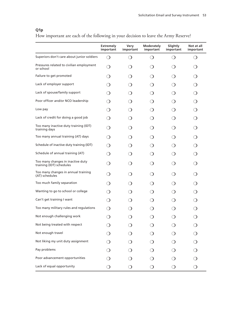# **Q1p**

How important are each of the following in your decision to leave the Army Reserve?

|                                                               | <b>Extremely</b><br>important | Very<br>important                             | Moderately<br>important                       | Slightly<br>important  | Not at all<br>important                       |
|---------------------------------------------------------------|-------------------------------|-----------------------------------------------|-----------------------------------------------|------------------------|-----------------------------------------------|
| Superiors don't care about junior soldiers                    | ◯                             | $\left(\begin{array}{c}\right)$               | $\left( \right)$                              | 0                      | $\left( \ \right)$                            |
| Pressures related to civilian employment<br>or school         | $\left( \ \right)$            | $\left( \quad \right)$                        | $\left( \ \right)$                            | $\Box$                 |                                               |
| Failure to get promoted                                       | $\left( \quad \right)$        | $\left( \quad \right)$                        | $\left( \quad \right)$                        | $\Box$                 |                                               |
| Lack of employer support                                      | $\left( \right)$              | $\left(\begin{array}{c}\right)$               | $\left( \ \right)$                            | $\left( \right)$       | ◯                                             |
| Lack of spouse/family support                                 | $\left( \right)$              | $\left( \right)$                              | $\left( \right)$                              | 0                      | ◯                                             |
| Poor officer and/or NCO leadership                            | $\left( \right)$              | $\left(\begin{array}{c}\right)$               | $\left( \right)$                              |                        | ∩                                             |
| Low pay                                                       | $\left( \right)$              | $\left(\begin{array}{c}\right)$               | $\left( \ \right)$                            | 0                      | 0                                             |
| Lack of credit for doing a good job                           | $\left( \right)$              | $\left(\begin{array}{c}\right)$               | $\left( \ \right)$                            | $\left( \quad \right)$ | 0                                             |
| Too many inactive duty training (IDT)<br>training days        | ◯                             | $\left( \right)$                              | $\left( \right)$                              | 0                      | 0                                             |
| Too many annual training (AT) days                            | ◯                             | $\left( \right)$                              | $\left( \right)$                              | $\left( \ \right)$     | ◯                                             |
| Schedule of inactive duty training (IDT)                      | ◯                             | $\left( \right)$                              | $\left( \ \right)$                            | 0                      | $\left( \begin{array}{c} \end{array} \right)$ |
| Schedule of annual training (AT)                              | ◯                             | ◯                                             | $\left( \ \right)$                            |                        | ◯                                             |
| Too many changes in inactive duty<br>training (IDT) schedules | ◯                             | ◯                                             | $\left( \right)$                              |                        | ◯                                             |
| Too many changes in annual training<br>(AT) schedules         | ◯                             | ◯                                             | $\left( \right)$                              | 0                      | ◯                                             |
| Too much family separation                                    | ◯                             | $\left( \right)$                              | $\left( \right)$                              | $\Box$                 | ◯                                             |
| Wanting to go to school or college                            | $\bigcirc$                    | ◯                                             |                                               |                        | ◯                                             |
| Can't get training I want                                     | ◯                             | $\left( \begin{array}{c} \end{array} \right)$ | $\left( \ \right)$                            |                        | ∩                                             |
| Too many military rules and regulations                       | ◯                             | 0                                             | $\left( \begin{array}{c} \end{array} \right)$ | 0                      |                                               |
| Not enough challenging work                                   |                               |                                               |                                               |                        |                                               |
| Not being treated with respect                                |                               | $\left( \right)$                              |                                               |                        | ◯                                             |
| Not enough travel                                             |                               | $\left( \right)$                              | $\lambda$                                     |                        | $\bigcirc$                                    |
| Not liking my unit duty assignment                            |                               | $\left( \right)$                              |                                               |                        | $\bigcirc$                                    |
| Pay problems                                                  |                               |                                               |                                               |                        | $\bigcirc$                                    |
| Poor advancement opportunities                                |                               |                                               |                                               |                        |                                               |
| Lack of equal opportunity                                     | $\bigcirc$                    | $\bigcirc$                                    | $\bigcirc$                                    | ◯                      | $\bigcirc$                                    |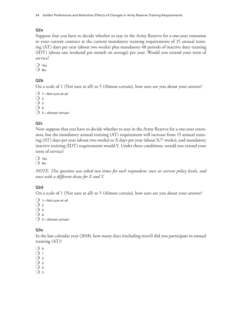## **Q2a**

Suppose that you have to decide whether to stay in the Army Reserve for a one-year extension to your current contract at the current mandatory training requirements of 15 annual training (AT) days per year (about two weeks) plus mandatory 48 periods of inactive duty training (IDT) (about one weekend per month on average) per year. Would you extend your term of service?

 $O$  Yes  $\overline{O}$  No

## **Q2b**

On a scale of 1 (Not sure at all) to 5 (Almost certain), how sure are you about your answer?

```
\bigcirc 1—Not sure at all
\bigcirc 2
\overline{O} 3
\bigcirc 4
\bigcirc 5—Almost certain
```
## **Q2c**

Now suppose that you have to decide whether to stay in the Army Reserve for a one-year extension, but the mandatory annual training (AT) requirement will increase from 15 annual training (AT) days per year (about two weeks) to X days per year (about X/7 weeks), and mandatory inactive training (IDT) requirements would Y. Under these conditions, would you extend your term of service?

 $\overline{O}$  Yes

 $O$  No

*NOTE: This question was asked two times for each respondent: once at current policy levels, and once with a different draw for X and Y.*

## **Q2d**

On a scale of 1 (Not sure at all) to 5 (Almost certain), how sure are you about your answer?

 $\bigcirc$  1—Not sure at all  $\bigcirc$  2  $\bigcirc$  3  $\bigcirc$  4  $O$  5-Almost certain

## **Q3a**

In the last calendar year (2018), how many days (including travel) did you participate in annual training (AT)?

 $\overline{O}$  0

 $\overline{O}$  1

- $\bigcap$  2  $O_3$
- $\bigcirc$  4
- $\bigcirc$  5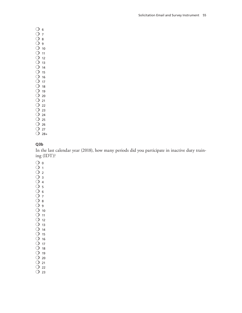$\bigcirc$  6  $O<sub>7</sub>$  $\bigcirc$  8  $O<sub>9</sub>$  $\bigcirc$  10  $O$  11  $\bigcirc$  12  $\bigcirc$  13  $O$  14  $\overline{O}$  15  $O$  16  $O$  17  $\bigcirc$  18  $O$  19  $\bigcirc$  20  $O$  21  $\bigcirc$  22  $\bigcirc$  23  $O$  24  $O$  25  $\bigcirc$  26

- $O$  27
- $O$  28+

## **Q3b**

In the last calendar year (2018), how many periods did you participate in inactive duty training (IDT)?

- $\bigcirc$  0
- $O<sub>1</sub>$
- $O<sub>2</sub>$
- $O_3$  $O_4$
- $O<sub>5</sub>$
- $\bigcirc$  6
- $\overline{O}$  7
- $\bigcirc$  8
- $O<sub>9</sub>$  $\bigcirc$  10
- $O$  11
- $\overline{O}$  12
- $O$  13
- $O$  14
- $\bigcirc$  15
- $\bigcirc$  16
- $O$  17  $O$  18
- $O$  19
- $\bigcirc$  20
- $O$  21
- $\bigcirc$  22
- $O$  23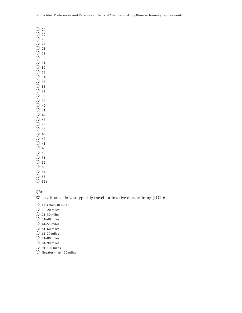$O$  24  $\overline{O}$  25  $O$  26

 $O$  27

 $O$  28

 $O$  29  $O$  30

- $\bigcirc$  31
- O 32
- $\overline{O}$  33  $O$  34
- $\overline{O}$  35
- $O$  36
- $O$  37
- O 38  $O$  39
- $\bigcirc$  40
- $O$  41
- $O$  42
- $O$  43  $O$  44
- $O$  45
- $O$  46
- $O$  47
- $O$  48
- $O$  49  $\bigcirc$  50
- $\bigcirc$  51
- $\overline{O}$  52
- $\bigcirc$  53
- $O$  54
- $\bigcirc$  55
- $O$  56+

## **Q3c**

What distance do you typically travel for inactive duty training (IDT)?

- $\bigcirc$  Less than 10 miles
- $\bigcirc$  10–20 miles
- $O$  21–30 miles
- $O$  31–40 miles
- $O$  41–50 miles
- $O$  51–60 miles
- $\bigcirc$  61–70 miles
- $O$  71–80 miles
- $O$  81–90 miles
- $O$  91–100 miles
- $\bigcirc$  Greater than 100 miles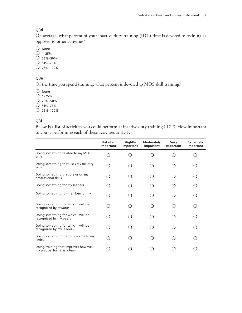## **Q3d**

On average, what percent of your inactive duty training (IDT) time is devoted to training as opposed to other activities?

 $O$  None

- $O$  1–25%
- $O$  26%–50%
- $O$  51%–75%
- $O$  76%–100%

## **Q3e**

Of the time you spend training, what percent is devoted to MOS skill training?

 $O$  None

- $O$  1–25%
- $O$  26%–50%
- $O$  51%–75%
- $O$  76%–100%

## **Q3f**

Below is a list of activities you could perform at inactive duty training (IDT). How important to you is performing each of these activities at IDT?

|                                                                     | Not at all               | Slightly  | Moderately | Very      | <b>Extremely</b> |
|---------------------------------------------------------------------|--------------------------|-----------|------------|-----------|------------------|
|                                                                     | important                | important | important  | important | important        |
| Doing something related to my MOS<br>skills                         |                          |           |            |           |                  |
| Doing something that uses my military<br>skills                     |                          |           |            |           |                  |
| Doing something that draws on my<br>professional skills             | ົ                        |           |            |           |                  |
| Doing something for my leaders                                      |                          |           |            |           |                  |
| Doing something for members of my<br>unit                           | $\overline{\phantom{a}}$ |           |            |           |                  |
| Doing something for which I will be<br>recognized by rewards        |                          |           |            |           |                  |
| Doing something for which I will be<br>recognized by my peers       |                          |           |            |           |                  |
| Doing something for which I will be<br>recognized by my leaders     |                          |           |            |           |                  |
| Doing something that pushes me to my<br>limits                      |                          |           |            |           |                  |
| Doing training that improves how well<br>my unit performs as a team |                          |           |            |           |                  |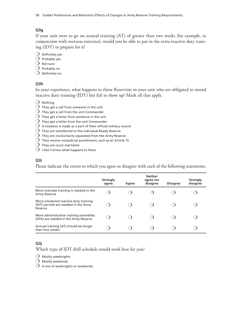## **Q3g**

If your unit were to go on annual training (AT) of greater than two weeks (for example, in conjunction with overseas exercises), would you be able to put in the extra inactive duty training (IDT) to prepare for it?

- $\bigcirc$  Definitely yes
- $\bigcirc$  Probably yes
- $O$  Not sure
- $\bigcirc$  Probably no
- $\bigcirc$  Definitely no

#### **Q3h**

In your experience, what happens to those Reservists in your unit who are obligated to attend inactive duty training (IDT) but fail to show up? Mark all that apply.

 $\bigcirc$  Nothing

- $\overline{O}$  They get a call from someone in the unit
- $\bigcirc$  They get a call from the unit Commander
- $\overline{O}$  They get a letter from someone in the unit
- $\overline{O}\,$  They get a letter from the unit Commander
- $\overline{O}$  A notation is made as a part of their official military record
- $\overline{O}$  They are transferred to the Individual Ready Reserve
- $\bigcirc$  They are involuntarily separated from the Army Reserve
- $\overline{O}$  They receive nonjudicial punishment, such as an Article 15
- $\bigcirc$  They are court-martialed
- $\bigcirc$  I don't know what happens to them

#### **Q3i**

Please indicate the extent to which you agree or disagree with each of the following statements.

|                                                                                          | <b>Strongly</b><br>agree | Agree | <b>Neither</b><br>agree nor<br>disagree | <b>Disagree</b> | <b>Strongly</b><br>disagree |
|------------------------------------------------------------------------------------------|--------------------------|-------|-----------------------------------------|-----------------|-----------------------------|
| More overseas training is needed in the<br>Army Reserve                                  |                          |       |                                         |                 |                             |
| More scheduled inactive duty training<br>(IDT) periods are needed in the Army<br>Reserve |                          |       |                                         |                 |                             |
| More administrative training assemblies<br>(ATA) are needed in the Army Reserve          |                          |       |                                         |                 |                             |
| Annual training (AT) should be longer<br>than two weeks                                  |                          |       |                                         |                 |                             |

## **Q3j**

Which type of IDT drill schedule would work best for you?

 $\bigcirc$  Mostly weeknights

- $O$  Mostly weekends
- $\bigcirc$  A mix of weeknights or weekends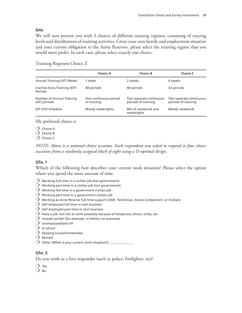## **Q4a**

We will now present you with 3 choices of different training regimes, consisting of varying levels and distributions of training activities. Given your own family and employment situation and your current obligation to the Army Reserves, please select the training regime that you would most prefer. In each case, please select exactly one choice.

## Training Regimen Choice Z

|                                                | <b>Choice A</b>                      | <b>Choice B</b>                                | <b>Choice C</b>                                |
|------------------------------------------------|--------------------------------------|------------------------------------------------|------------------------------------------------|
| Annual Training (AT) Weeks                     | 1 week                               | 2 weeks                                        | 4 weeks                                        |
| Inactive Duty Training (IDT)<br><b>Periods</b> | 48 periods                           | 40 periods                                     | 32 periods                                     |
| Number of Annual Training<br>(AT) periods      | One continuous period<br>of training | Two separate continuous<br>periods of training | Two separate continuous<br>periods of training |
| <b>IDT Drill Schedule</b>                      | Mostly weeknights                    | Mix of weekends and<br>weeknights              | Mostly weekends                                |

My preferred choice is

 $\bigcirc$  Choice A

 $\bigcirc$  Choice B

 $\Omega$  Choice C

*NOTE: Above is a notional choice occasion. Each respondent was asked to respond to four choice occasions from a randomly assigned block of eight using a D-optimal design.*

## **Q5a\_1**

Which of the following best describes your current work situation? Please select the option where you spend the most amount of time.

- $\overline{O}$  Working full-time in a civilian job (not government)
- $\overline{O}$  Working part-time in a civilian job (not government)
- $\overline{O}\,$  Working full-time in a government civilian job
- $\overline{O}$  Working part-time in a government civilian job
- $\bigcirc$  Working as Army Reserve full-time support (AGR, Technician, Active Component, or Civilian)
- $\overline{O}$  Self-employed full-time in own business
- $\overline{O}$  Self-employed part-time in own business
- $\bigcirc$  Have a job, but not at work presently because of temporary illness, strike, etc.
- $\bigcirc$  Unpaid worker (for example, in family-run business)
- $\bigcirc$  Unemployed/laid off
- $\bigcirc$  In school
- $\bigcirc$  Keeping house/homemaker
- $\bigcirc$  Retired
- $\overline{O}$  Other (What is your current work situation?)  $\overline{\phantom{a}}$

## **Q5a\_2**

Do you work as a first responder (such as police, firefighter, etc)?

 $\overline{O}$  Yes

 $\overline{O}$  No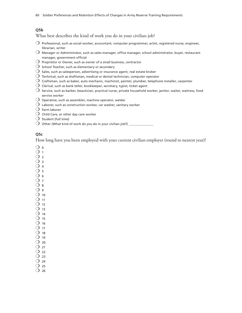#### **Q5b**

What best describes the kind of work you do in your civilian job?

- $\bigcirc$  Professional, such as social worker, accountant, computer programmer, artist, registered nurse, engineer, librarian, writer
- $\bigcirc$  Manager or Administrator, such as sales manager, office manager, school administrator, buyer, restaurant manager, government official
- $\overline{O}$  Proprietor or Owner, such as owner of a small business, contractor
- $\bigcirc$  School Teacher, such as elementary or secondary
- $\bigcirc$  Sales, such as salesperson, advertising or insurance agent, real estate broker
- $\bigcirc$  Technical, such as draftsman, medical or dental technician, computer operator
- $\bigcirc$  Craftsman, such as baker, auto mechanic, machinist, painter, plumber, telephone installer, carpenter
- $\operatorname{O}\nolimits$  Clerical, such as bank teller, bookkeeper, secretary, typist, ticket agent
- $\bigcirc$  Service, such as barber, beautician, practical nurse, private household worker, janitor, waiter, waitress, food service worker
- $\bigcirc$  Operative, such as assembler, machine operator, welder
- $\bigcirc$  Laborer, such as construction worker, car washer, sanitary worker
- $\bigcirc$  Farm laborer
- $\bigcirc$  Child Care, or other day care worker
- $\bigcirc$  Student (full time)
- $\overline{O}$  Other (What kind of work do you do in your civilian job?) \_

#### **Q5c**

How long have you been employed with your current civilian employer (round to nearest year)?

 $\bigcirc$  o

- $O<sub>1</sub>$
- $\overline{O}$  2
- $O_3$  $O_4$
- $\overline{O}$  5
- $O<sub>6</sub>$
- $\overline{O}$  7
- $\bigcirc$  8
- $\Omega$  9
- $\bigcirc$  10
- $\bigcirc$  11  $\overline{O}$  12
- $\overline{O}$  13
- $\bigcirc$  14
- $\Omega$  15
- $\overline{O}$  16
- $\overline{O}$  17
- $\bigcirc$  18
- $\overline{O}$  19
- $\bigcirc$  20  $\bigcirc$  21
- $\overline{O}$  22
- $\overline{O}$  23
- $O$  24
- $\overline{O}$  25
- $\overline{O}$  26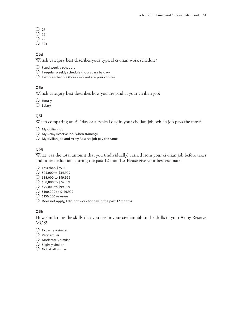- $\Omega$  27
- $\overline{O}$  28
- $\overline{O}$  29
- $\bigcirc$  30+

## **Q5d**

Which category best describes your typical civilian work schedule?

- $O$  Fixed weekly schedule
- $\bigcirc$  Irregular weekly schedule (hours vary by day)
- $\bigcirc$  Flexible schedule (hours worked are your choice)

## **Q5e**

Which category best describes how you are paid at your civilian job?

 $\bigcirc$  Hourly

 $\bigcirc$  Salary

## **Q5f**

When comparing an AT day or a typical day in your civilian job, which job pays the most?

- $\bigcirc$  My civilian job
- $\bigcirc$  My Army Reserve job (when training)
- $\overline{O}$  My civilian job and Army Reserve job pay the same

# **Q5g**

What was the total amount that you (individually) earned from your civilian job before taxes and other deductions during the past 12 months? Please give your best estimate.

- $\bigcirc$  Less than \$25,000
- $\bigcirc$  \$25,000 to \$34,999
- $O$  \$35,000 to \$49,999
- $\bigcirc$  \$50,000 to \$74,999
- $O$  \$75,000 to \$99,999
- $O$  \$100,000 to \$149,999
- $\bigcirc$  \$150,000 or more
- $\bigcirc$  Does not apply, I did not work for pay in the past 12 months

## **Q5h**

How similar are the skills that you use in your civilian job to the skills in your Army Reserve MOS?

- $\bigcirc$  Extremely similar
- $\bigcirc$  Very similar
- $O$  Moderately similar
- $\bigcirc$  Slightly similar
- $\Omega$  Not at all similar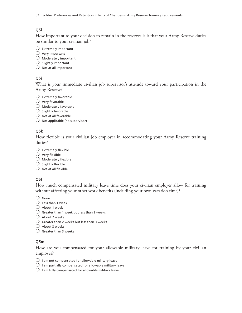62 Soldier Preferences and Retention Effects of Changes in Army Reserve Training Requirements

# **Q5i**

How important to your decision to remain in the reserves is it that your Army Reserve duties be similar to your civilian job?

- $\bigcirc$  Extremely important
- $\bigcirc$  Very important
- $\bigcirc$  Moderately important
- $O$  Slightly important
- $\bigcirc$  Not at all important

# **Q5j**

What is your immediate civilian job supervisor's attitude toward your participation in the Army Reserve?

- $\bigcirc$  Extremely favorable
- $\bigcirc$  Very favorable
- $\bigcirc$  Moderately favorable
- $O$  Slightly favorable
- $O$  Not at all favorable
- $\overline{O}$  Not applicable (no supervisor)

## **Q5k**

How flexible is your civilian job employer in accommodating your Army Reserve training duties?

- $O$  Extremely flexible
- $\bigcirc$  Very flexible
- $O$  Moderately flexible
- $\bigcirc$  Slightly flexible
- $\bigcirc$  Not at all flexible

## **Q5l**

How much compensated military leave time does your civilian employer allow for training without affecting your other work benefits (including your own vacation time)?

 $O$  None

- $\bigcirc$  Less than 1 week
- $\bigcirc$  About 1 week
- $\bigcirc$  Greater than 1 week but less than 2 weeks
- $O$  About 2 weeks
- $\bigcirc$  Greater than 2 weeks but less than 3 weeks
- $\bigcirc$  About 3 weeks
- $\bigcirc$  Greater than 3 weeks

## **Q5m**

How are you compensated for your allowable military leave for training by your civilian employer?

- $\bigcirc$  I am not compensated for allowable military leave
- $\bigcirc$  I am partially compensated for allowable military leave
- $\overline{O}$  I am fully compensated for allowable military leave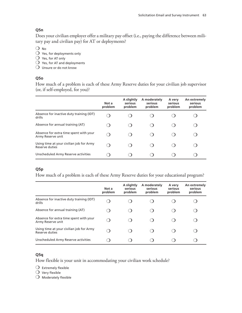## **Q5n**

Does your civilian employer offer a military pay offset (i.e., paying the difference between military pay and civilian pay) for AT or deployments?

 $O$  No

- $\bigcirc$  Yes, for deployments only
- $\bigcirc$  Yes, for AT only
- $\bigcirc$  Yes, for AT and deployments
- $O$  Unsure or do not know

## **Q5o**

How much of a problem is each of these Army Reserve duties for your civilian job supervisor (or, if self-employed, for you)?

|                                                             | Not a<br>problem | A slightly<br>serious<br>problem | A moderately<br>serious<br>problem | A very<br>serious<br>problem | An extremely<br>serious<br>problem |
|-------------------------------------------------------------|------------------|----------------------------------|------------------------------------|------------------------------|------------------------------------|
| Absence for inactive duty training (IDT)<br>drills          |                  |                                  |                                    |                              |                                    |
| Absence for annual training (AT)                            |                  |                                  |                                    |                              |                                    |
| Absence for extra time spent with your<br>Army Reserve unit |                  |                                  |                                    |                              |                                    |
| Using time at your civilian job for Army<br>Reserve duties  |                  |                                  |                                    |                              |                                    |
| Unscheduled Army Reserve activities                         |                  |                                  |                                    |                              |                                    |

## **Q5p**

How much of a problem is each of these Army Reserve duties for your educational program?

|                                                             | Not a<br>problem | A slightly<br>serious<br>problem | A moderately<br>serious<br>problem | A very<br>serious<br>problem | An extremely<br>serious<br>problem |
|-------------------------------------------------------------|------------------|----------------------------------|------------------------------------|------------------------------|------------------------------------|
| Absence for inactive duty training (IDT)<br>drills          |                  |                                  |                                    |                              |                                    |
| Absence for annual training (AT)                            |                  |                                  |                                    |                              |                                    |
| Absence for extra time spent with your<br>Army Reserve unit |                  |                                  |                                    |                              |                                    |
| Using time at your civilian job for Army<br>Reserve duties  |                  |                                  |                                    |                              |                                    |
| Unscheduled Army Reserve activities                         |                  |                                  |                                    |                              |                                    |

## **Q5q**

How flexible is your unit in accommodating your civilian work schedule?

 $O$  Extremely flexible

 $\bigcirc$  Very flexible

 $O$  Moderately flexible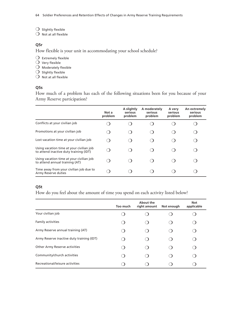$\bigcirc$  Slightly flexible

 $O$  Not at all flexible

#### **Q5r**

How flexible is your unit in accommodating your school schedule?

- $O$  Extremely flexible
- $\bigcirc$  Very flexible
- $O$  Moderately flexible
- $O$  Slightly flexible
- $O$  Not at all flexible

## **Q5s**

How much of a problem has each of the following situations been for you because of your Army Reserve participation?

|                                                                                    | Not a<br>problem | A slightly<br>serious<br>problem | A moderately<br>serious<br>problem | A very<br>serious<br>problem | An extremely<br>serious<br>problem |
|------------------------------------------------------------------------------------|------------------|----------------------------------|------------------------------------|------------------------------|------------------------------------|
| Conflicts at your civilian job                                                     |                  |                                  |                                    |                              |                                    |
| Promotions at your civilian job                                                    |                  |                                  |                                    |                              |                                    |
| Lost vacation time at your civilian job                                            |                  |                                  |                                    |                              |                                    |
| Using vacation time at your civilian job<br>to attend inactive duty training (IDT) |                  |                                  |                                    |                              |                                    |
| Using vacation time at your civilian job<br>to attend annual training (AT)         |                  |                                  |                                    |                              |                                    |
| Time away from your civilian job due to<br>Army Reserve duties                     |                  |                                  |                                    |                              |                                    |

## **Q5t**

How do you feel about the amount of time you spend on each activity listed below?

|                                           | Too much | About the<br>right amount | Not enough | <b>Not</b><br>applicable |
|-------------------------------------------|----------|---------------------------|------------|--------------------------|
| Your civilian job                         |          |                           |            |                          |
| Family activities                         |          |                           |            |                          |
| Army Reserve annual training (AT)         |          |                           |            |                          |
| Army Reserve inactive duty training (IDT) |          |                           |            |                          |
| <b>Other Army Reserve activities</b>      |          |                           |            |                          |
| Community/church activities               |          |                           |            |                          |
| Recreational/leisure activities           |          |                           |            |                          |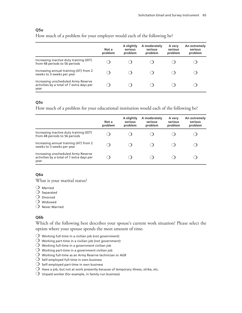#### **Q5u**

How much of a problem for your employer would each of the following be?

|                                                                                          | Not a<br>problem | A slightly<br>serious<br>problem | A moderately<br>serious<br>problem | A very<br>serious<br>problem | An extremely<br>serious<br>problem |
|------------------------------------------------------------------------------------------|------------------|----------------------------------|------------------------------------|------------------------------|------------------------------------|
| Increasing inactive duty training (IDT)<br>from 48 periods to 56 periods                 |                  |                                  |                                    |                              |                                    |
| Increasing annual training (AT) from 2<br>weeks to 3 weeks per year                      |                  |                                  |                                    |                              |                                    |
| Increasing unscheduled Army Reserve<br>activities by a total of 7 extra days per<br>year |                  |                                  |                                    |                              |                                    |

#### **Q5v**

How much of a problem for your educational institution would each of the following be?

|                                                                                          | Not a<br>problem | A slightly<br>serious<br>problem | A moderately<br>serious<br>problem | A very<br>serious<br>problem | An extremely<br>serious<br>problem |
|------------------------------------------------------------------------------------------|------------------|----------------------------------|------------------------------------|------------------------------|------------------------------------|
| Increasing inactive duty training (IDT)<br>from 48 periods to 56 periods                 |                  |                                  |                                    |                              |                                    |
| Increasing annual training (AT) from 2<br>weeks to 3 weeks per year                      |                  |                                  |                                    |                              |                                    |
| Increasing unscheduled Army Reserve<br>activities by a total of 7 extra days per<br>year |                  |                                  |                                    |                              |                                    |

## **Q6a**

What is your marital status?

- $O$  Married
- $\bigcirc$  Separated
- $\bigcirc$  Divorced
- $O$  Widowed
- $\bigcirc$  Never Married

#### **Q6b**

Which of the following best describes your spouse's current work situation? Please select the option where your spouse spends the most amount of time.

- $\bigcirc$  Working full-time in a civilian job (not government)
- $\overline{O}$  Working part-time in a civilian job (not government)
- $\bigcirc$  Working full-time in a government civilian job
- $\overline{O}$  Working part-time in a government civilian job
- $\overline{O}$  Working full-time as an Army Reserve technician or AGR
- $\bigcirc$  Self-employed full-time in own business
- $\bigcirc$  Self-employed part-time in own business
- $\bigcirc$  Have a job, but not at work presently because of temporary illness, strike, etc.
- $\bigcirc$  Unpaid worker (for example, in family-run business)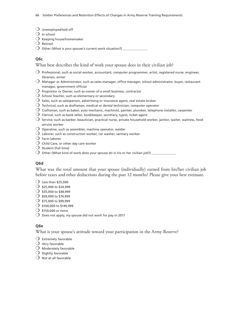- $O$  Unemployed/laid off
- $\bigcirc$  In school
- $O$  Keeping house/homemaker
- $\bigcirc$  Retired
- $\bigcirc$  Other (What is your spouse's current work situation?)

#### **Q6c**

What best describes the kind of work your spouse does in their civilian job?

- $\bigcirc$  Professional, such as social worker, accountant, computer programmer, artist, registered nurse, engineer, librarian, writer
- $\bigcirc$  Manager or Administrator, such as sales manager, office manager, school administrator, buyer, restaurant manager, government official
- $\bigcirc$  Proprietor or Owner, such as owner of a small business, contractor
- $\bigcirc$  School Teacher, such as elementary or secondary
- $\bigcirc$  Sales, such as salesperson, advertising or insurance agent, real estate broker
- $\bigcirc$  Technical, such as draftsman, medical or dental technician, computer operator
- $\bigcirc$  Craftsman, such as baker, auto mechanic, machinist, painter, plumber, telephone installer, carpenter
- $\operatorname{O}\nolimits$  Clerical, such as bank teller, bookkeeper, secretary, typist, ticket agent
- $\bigcirc$  Service, such as barber, beautician, practical nurse, private household worker, janitor, waiter, waitress, food service worker
- $\overline{O}$  Operative, such as assembler, machine operator, welder
- $\operatorname{O}\nolimits$  Laborer, such as construction worker, car washer, sanitary worker
- $O$  Farm laborer
- $\bigcirc$  Child Care, or other day care worker
- $\bigcirc$  Student (full time)
- $\overline{O}$  Other (What kind of work does your spouse do in his or her civilian job?)  $\_$

#### **Q6d**

What was the total amount that your spouse (individually) earned from his/her civilian job before taxes and other deductions during the past 12 months? Please give your best estimate.

- $\bigcirc$  Less than \$25,000
- $\bigcirc$  \$25,000 to \$34,999
- $\bigcirc$  \$35,000 to \$49,999
- $O$  \$50,000 to \$74,999
- $\bigcirc$  \$75,000 to \$99,999
- $\bigcirc$  \$100,000 to \$149,999
- $\bigcirc$  \$150,000 or more
- $\bigcirc$  Does not apply, my spouse did not work for pay in 2017

#### **Q6e**

What is your spouse's attitude toward your participation in the Army Reserve?

- $\bigcirc$  Extremely favorable
- $\bigcirc$  Very favorable
- $\bigcirc$  Moderately favorable
- $\bigcirc$  Slightly favorable
- $\bigcirc$  Not at all favorable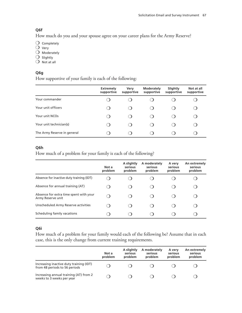## **Q6f**

How much do you and your spouse agree on your career plans for the Army Reserve?

 $\bigcirc$  Completely

- $O$  Very
- $O$  Moderately
- $\bigcirc$  Slightly
- $O$  Not at all

## **Q6g**

How supportive of your family is each of the following:

|                             | <b>Extremely</b><br>supportive | Very<br>supportive | <b>Moderately</b><br>supportive | Slightly<br>supportive | Not at all<br>supportive |
|-----------------------------|--------------------------------|--------------------|---------------------------------|------------------------|--------------------------|
| Your commander              |                                |                    |                                 |                        |                          |
| Your unit officers          | ີ                              |                    |                                 |                        |                          |
| Your unit NCOs              |                                |                    |                                 |                        |                          |
| Your unit technician(s)     |                                |                    |                                 |                        |                          |
| The Army Reserve in general |                                |                    |                                 |                        |                          |

## **Q6h**

How much of a problem for your family is each of the following?

|                                                             | Not a<br>problem | A slightly<br>serious<br>problem | A moderately<br>serious<br>problem | A very<br>serious<br>problem | An extremely<br>serious<br>problem |
|-------------------------------------------------------------|------------------|----------------------------------|------------------------------------|------------------------------|------------------------------------|
| Absence for inactive duty training (IDT)                    |                  |                                  |                                    |                              |                                    |
| Absence for annual training (AT)                            |                  |                                  |                                    |                              |                                    |
| Absence for extra time spent with your<br>Army Reserve unit |                  |                                  |                                    |                              |                                    |
| Unscheduled Army Reserve activities                         |                  |                                  |                                    |                              |                                    |
| Scheduling family vacations                                 |                  |                                  |                                    |                              |                                    |

## **Q6i**

How much of a problem for your family would each of the following be? Assume that in each case, this is the only change from current training requirements.

|                                                                          | Not a<br>problem | A slightly<br>serious<br>problem | A moderately<br>serious<br>problem | A very<br>serious<br>problem | An extremely<br>serious<br>problem |
|--------------------------------------------------------------------------|------------------|----------------------------------|------------------------------------|------------------------------|------------------------------------|
| Increasing inactive duty training (IDT)<br>from 48 periods to 56 periods |                  |                                  |                                    |                              |                                    |
| Increasing annual training (AT) from 2<br>weeks to 3 weeks per year      |                  |                                  |                                    |                              |                                    |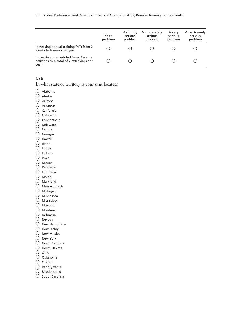|                                                                                          | Not a<br>problem | A slightly<br>serious<br>problem | A moderately<br>serious<br>problem | A very<br>serious<br>problem | An extremely<br>serious<br>problem |
|------------------------------------------------------------------------------------------|------------------|----------------------------------|------------------------------------|------------------------------|------------------------------------|
| Increasing annual training (AT) from 2<br>weeks to 4 weeks per year                      |                  |                                  |                                    |                              |                                    |
| Increasing unscheduled Army Reserve<br>activities by a total of 7 extra days per<br>year |                  |                                  |                                    |                              |                                    |

## **Q7a**

In what state or territory is your unit located?

- $O$  Alabama
- $O$  Alaska
- $O$  Arizona
- $\bigcirc$  Arkansas
- $O$  California
- $O$  Colorado
- $\bigcirc$  Connecticut
- $O$  Delaware
- $\bigcirc$  Florida
- $\bigcirc$  Georgia
- $\bigcirc$  Hawaii
- $O$  Idaho
- $O$  Illinois
- $O$  Indiana
- $\bigcirc$  Iowa
- $O$  Kansas
- $O$  Kentucky
- $\bigcirc$  Louisiana
- $O$  Maine
- $O$  Maryland
- $\bigcirc$  Massachusetts
- $O$  Michigan
- $O$  Minnesota
- $O$  Mississippi
- $\bigcirc$  Missouri
- $\bigcirc$  Montana
- $O$  Nebraska
- $O$  Nevada
- $\bigcirc$  New Hampshire
- $O$  New Jersey
- $O$  New Mexico
- $O$  New York
- $O$  North Carolina
- $O$  North Dakota
- $O$  Ohio
- $O$  Oklahoma
- $\bigcirc$  Oregon
- $\bigcirc$  Pennsylvania
- $O$  Rhode Island
- $O$  South Carolina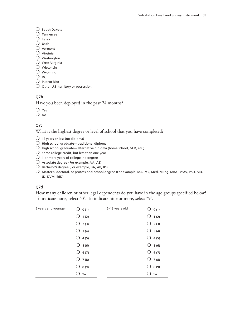#### $\bigcirc$  South Dakota

- $\bigcirc$  Tennessee
- $\bigcirc$  Texas
- $O$  Utah
- $O$  Vermont
- $\bigcirc$  Virginia
- $\bigcirc$  Washington
- $\bigcirc$  West Virginia
- $O$  Wisconsin
- $\bigcirc$  Wyoming
- $\overline{O}$  DC
- $\bigcirc$  Puerto Rico
- $\bigcirc$  Other U.S. territory or possession

## **Q7b**

Have you been deployed in the past 24 months?

 $\bigcirc$  Yes

 $O$  No

## **Q7c**

What is the highest degree or level of school that you have completed?

- $\bigcirc$  12 years or less (no diploma)
- $O$  High school graduate—traditional diploma
- $\overline{O}$  High school graduate—alternative diploma (home school, GED, etc.)
- $\overline{O}$  Some college credit, but less than one year
- $\overline{O}$  1 or more years of college, no degree
- $\bigcirc$  Associate degree (For example, AA, AS)
- $\bigcirc$  Bachelor's degree (For example, BA, AB, BS)
- $O$  Master's, doctoral, or professional school degree (For example, MA, MS, Med, MEng, MBA, MSW, PhD, MD, JD, DVM, EdD)

## **Q7d**

How many children or other legal dependents do you have in the age groups specified below? To indicate none, select "0". To indicate nine or more, select "9".

| 5 years and younger | $\bigcirc$ 0 (1) | 6-13 years old | $\bigcirc$ 0 (1) |
|---------------------|------------------|----------------|------------------|
|                     | $\bigcirc$ 1 (2) |                | $\bigcirc$ 1 (2) |
|                     | $\bigcirc$ 2 (3) |                | $\bigcirc$ 2 (3) |
|                     | $\bigcirc$ 3 (4) |                | $\bigcirc$ 3 (4) |
|                     | $\bigcirc$ 4 (5) |                | $\bigcirc$ 4 (5) |
|                     | $\bigcirc$ 5 (6) |                | $\bigcirc$ 5 (6) |
|                     | $O$ 6(7)         |                | $O$ 6(7)         |
|                     | $\bigcirc$ 7 (8) |                | $\bigcirc$ 7 (8) |
|                     | $\bigcirc$ 8 (9) |                | $O$ 8 (9)        |
|                     | $9+$             |                | $9+$             |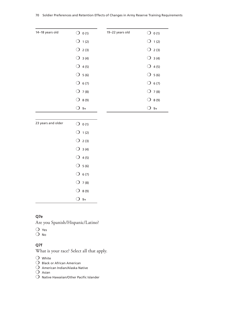| 14-18 years old | $\bigcirc$ 0 (1)   | 19-22 years old | $\bigcirc$ 0 (1) |
|-----------------|--------------------|-----------------|------------------|
|                 | $\bigcirc$ 1 (2)   |                 | $\bigcirc$ 1 (2) |
|                 | $O$ 2(3)           |                 | $O$ 2(3)         |
|                 | $\bigcirc$ 3 (4)   |                 | $\bigcirc$ 3 (4) |
|                 | 4(5)<br>$\bigcirc$ |                 | $\bigcirc$ 4 (5) |
|                 | $O$ 5 (6)          |                 | $O$ 5 (6)        |
|                 | $O$ 6(7)           |                 | $O$ 6(7)         |
|                 | $O$ 7(8)           |                 | $O$ 7(8)         |
|                 | $O$ 8 (9)          |                 | $O$ 8 (9)        |
|                 | $9+$               |                 | $9+$             |

| 23 years and older | $\bigcup$ 0(1)   |
|--------------------|------------------|
|                    | $\bigcirc$ 1 (2) |
|                    | $\bigcirc$ 2 (3) |
|                    | $\bigcirc$ 3 (4) |
|                    | $\bigcirc$ 4 (5) |
|                    | $O$ 5 (6)        |
|                    | $O$ 6(7)         |
|                    | $\bigcirc$ 7 (8) |
|                    | $O8$ (9)         |
|                    | 9+               |

# **Q7e**

Are you Spanish/Hispanic/Latino?

 $\bigcirc$  Yes

 $O$  No

#### **Q7f**

What is your race? Select all that apply.

 $O$  White

- $\bigcirc$  Black or African American
- $O$  American Indian/Alaska Native

 $\bigcirc$  Asian

 $O$  Native Hawaiian/Other Pacific Islander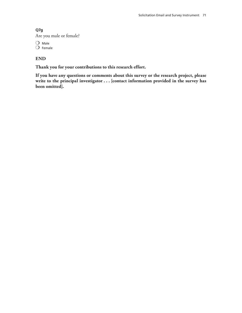# **Q7g** Are you male or female?

 $O$  Male  $\bigcirc$  Female

# **END**

**Thank you for your contributions to this research effort.**

**If you have any questions or comments about this survey or the research project, please write to the principal investigator . . . [contact information provided in the survey has been omitted].**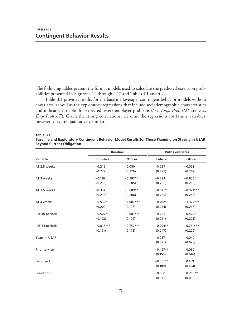The following tables present the formal models used to calculate the predicted extension probabilities presented in Figures 4.11 through 4.17 and Tables 4.1 and 4.2.

Table B.1 provides results for the baseline (average) contingent behavior models without covariates, as well as the exploratory regressions that include sociodemographic characteristics and indicator variables for expected severe employer problems (*Sev. Emp. Prob IDT* and *Sev. Emp Prob AT*). Given the strong correlations, we omit the regressions for family variables; however, they are qualitatively similar.

|                |                 | <b>Baseline</b> |                       | <b>With Covariates</b> |
|----------------|-----------------|-----------------|-----------------------|------------------------|
| Variable       | <b>Enlisted</b> | Officer         | <b>Enlisted</b>       | Officer                |
| AT 2.5 weeks   | 0.216           | 0.080           | 0.237                 | $-0.021$               |
|                | (0.227)         | (0.226)         | (0.297)               | (0.282)                |
| AT 3 weeks     | $-0.116$        | $-0.587**$      | $-0.323$              | $-0.836**$             |
|                | (0.219)         | (0.205)         | (0.286)               | (0.255)                |
| AT 3.5 weeks   | $-0.314$        | $-0.609**$      | $-0.642*$             | $-0.971***$            |
|                | (0.212)         | (0.206)         | (0.265)               | (0.253)                |
| AT 4 weeks     | $-0.532*$       | $-1.087***$     | $-0.702*$             | $-1.327***$            |
|                | (0.209)         | (0.197)         | (0.274)               | (0.246)                |
| IDT 40 periods | $-0.507**$      | $-0.601***$     | $-0.235$              | $-0.524*$              |
|                | (0.193)         | (0.179)         | (0.251)               | (0.221)                |
| IDT 44 periods | $-0.816***$     | $-0.757***$     | $-0.794**$            | $-0.751***$            |
|                | (0.191)         | (0.178)         | (0.247)               | (0.222)                |
| Years in USAR  |                 |                 | $-0.037$<br>(0.021)   | $-0.040$<br>(0.023)    |
| Prior service  |                 |                 | $-0.427**$<br>(0.155) | 0.060<br>(0.146)       |
| Deployed       |                 |                 | $-0.501**$<br>(0.189) | 0.169<br>(0.154)       |
| Education      |                 |                 | 0.050<br>(0.046)      | $0.260**$<br>(0.099)   |

**Table B.1**

**Baseline and Exploratory Contingent Behavior Model Results for Those Planning on Staying in USAR Beyond Current Obligation**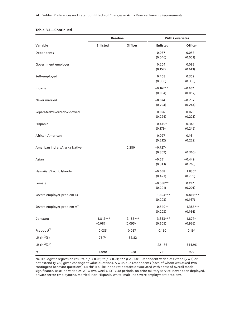#### **Table B.1—Continued**

|                               | <b>Baseline</b>       |                       |                        | <b>With Covariates</b> |  |
|-------------------------------|-----------------------|-----------------------|------------------------|------------------------|--|
| Variable                      | <b>Enlisted</b>       | Officer               | <b>Enlisted</b>        | Officer                |  |
| Dependents                    |                       |                       | $-0.067$<br>(0.046)    | 0.058<br>(0.051)       |  |
| Government employer           |                       |                       | 0.204<br>(0.152)       | 0.082<br>(0.143)       |  |
| Self-employed                 |                       |                       | 0.408<br>(0.380)       | 0.359<br>(0.338)       |  |
| Income                        |                       |                       | $-0.167**$<br>(0.054)  | $-0.102$<br>(0.057)    |  |
| Never married                 |                       |                       | $-0.074$<br>(0.224)    | $-0.237$<br>(0.244)    |  |
| Separated/divorced/widowed    |                       |                       | 0.026<br>(0.224)       | 0.075<br>(0.221)       |  |
| Hispanic                      |                       |                       | $0.449*$<br>(0.179)    | $-0.343$<br>(0.249)    |  |
| African American              |                       |                       | $-0.097$<br>(0.212)    | $-0.161$<br>(0.229)    |  |
| American Indian/Alaska Native |                       | 0.280                 | $-0.727*$<br>(0.369)   | (0.360)                |  |
| Asian                         |                       |                       | $-0.551$<br>(0.313)    | $-0.449$<br>(0.266)    |  |
| Hawaiian/Pacific Islander     |                       |                       | $-0.658$<br>(0.423)    | 1.836*<br>(0.799)      |  |
| Female                        |                       |                       | $-0.538**$<br>(0.201)  | 0.192<br>(0.201)       |  |
| Severe employer problem IDT   |                       |                       | $-1.394***$<br>(0.203) | $-0.815***$<br>(0.167) |  |
| Severe employer problem AT    |                       |                       | $-0.540**$<br>(0.203)  | $-1.386***$<br>(0.164) |  |
| Constant                      | $1.812***$<br>(0.087) | $2.186***$<br>(0.095) | 3.333***<br>(0.605)    | 1.874*<br>(0.926)      |  |
| Pseudo $R^2$                  | 0.035                 | 0.067                 | 0.150                  | 0.194                  |  |
| LR $chi2(6)$                  | 75.74                 | 152.82                |                        |                        |  |
| LR chi <sup>2</sup> (24)      |                       |                       | 221.66                 | 344.96                 |  |
| ${\cal N}$                    | 1,090                 | 1,228                 | 721                    | 929                    |  |

NOTE: Logistic regression results. \* *p* < 0.05; \*\* *p* < 0.01; \*\*\* *p* < 0.001. Dependent variable: extend (*y* = 1) or not extend (*y* = 0) given contingent value questions. *N* = unique respondents (each of whom was asked two contingent behavior questions). LR chi<sup>2</sup> is a likelihood ratio statistic associated with a test of overall model significance. Baseline variables: AT = two weeks, IDT = 48 periods, no prior military service, never been deployed, private sector employment, married, non-Hispanic, white, male, no severe employment problems.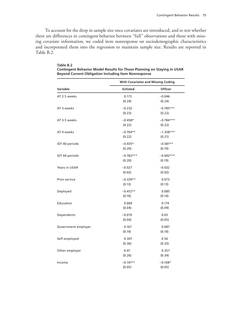To account for the drop in sample size once covariates are introduced, and to test whether there are differences in contingent behavior between "full" observations and those with missing covariate information, we coded item nonresponse on sociodemographic characteristics and incorporated them into the regression to maintain sample size. Results are reported in Table B.2.

|                       | <b>With Covariates and Missing Coding</b> |             |  |  |  |
|-----------------------|-------------------------------------------|-------------|--|--|--|
| <b>Variable</b>       | <b>Enlisted</b>                           | Officer     |  |  |  |
| AT 2.5 weeks          | 0.173                                     | $-0.046$    |  |  |  |
|                       | (0.24)                                    | (0.24)      |  |  |  |
| AT 3 weeks            | $-0.232$                                  | $-0.785***$ |  |  |  |
|                       | (0.23)                                    | (0.22)      |  |  |  |
| AT 3.5 weeks          | $-0.458*$                                 | $-0.784***$ |  |  |  |
|                       | (0.22)                                    | (0.22)      |  |  |  |
| AT 4 weeks            | $-0.704**$                                | $-1.338***$ |  |  |  |
|                       | (0.22)                                    | (0.21)      |  |  |  |
| <b>IDT 40 periods</b> | $-0.435*$                                 | $-0.581**$  |  |  |  |
|                       | (0.20)                                    | (0.19)      |  |  |  |
| IDT 44 periods        | $-0.782***$                               | $-0.692***$ |  |  |  |
|                       | (0.20)                                    | (0.19)      |  |  |  |
| Years in USAR         | $-0.027$                                  | $-0.032$    |  |  |  |
|                       | (0.02)                                    | (0.02)      |  |  |  |
| Prior service         | $-0.339**$                                | 0.073       |  |  |  |
|                       | (0.13)                                    | (0.13)      |  |  |  |
| Deployed              | $-0.412**$                                | 0.085       |  |  |  |
|                       | (0.16)                                    | (0.14)      |  |  |  |
| Education             | 0.069                                     | 0.174       |  |  |  |
|                       | (0.04)                                    | (0.09)      |  |  |  |
| Dependents            | $-0.019$                                  | 0.03        |  |  |  |
|                       | (0.04)                                    | (0.05)      |  |  |  |
| Government employer   | 0.167                                     | 0.087       |  |  |  |
|                       | (0.14)                                    | (0.14)      |  |  |  |
| Self-employed         | 0.307                                     | 0.56        |  |  |  |
|                       | (0.36)                                    | (0.33)      |  |  |  |
| Other employer        | 0.47                                      | 0.357       |  |  |  |
|                       | (0.26)                                    | (0.34)      |  |  |  |
| Income                | $-0.147**$                                | $-0.108*$   |  |  |  |
|                       | (0.05)                                    | (0.05)      |  |  |  |

**Table B.2 Contingent Behavior Model Results for Those Planning on Staying in USAR Beyond Current Obligation Including Item Nonresponse**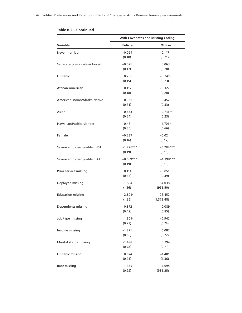|                               | <b>With Covariates and Missing Coding</b> |                          |  |  |  |
|-------------------------------|-------------------------------------------|--------------------------|--|--|--|
| Variable                      | <b>Enlisted</b>                           | Officer                  |  |  |  |
| Never married                 | $-0.094$<br>(0.18)                        | $-0.147$<br>(0.21)       |  |  |  |
| Separated/divorced/widowed    | $-0.071$<br>(0.17)                        | 0.063<br>(0.20)          |  |  |  |
| Hispanic                      | 0.285<br>(0.15)                           | $-0.249$<br>(0.23)       |  |  |  |
| African American              | 0.117<br>(0.18)                           | $-0.327$<br>(0.20)       |  |  |  |
| American Indian/Alaska Native | 0.066<br>(0.31)                           | $-0.452$<br>(0.33)       |  |  |  |
| Asian                         | $-0.453$<br>(0.24)                        | $-0.731**$<br>(0.23)     |  |  |  |
| Hawaiian/Pacific Islander     | $-0.46$<br>(0.36)                         | $1.701*$<br>(0.66)       |  |  |  |
| Female                        | $-0.237$<br>(0.16)                        | $-0.02$<br>(0.17)        |  |  |  |
| Severe employer problem IDT   | $-1.226***$<br>(0.19)                     | $-0.784***$<br>(0.16)    |  |  |  |
| Severe employer problem AT    | $-0.659***$<br>(0.19)                     | $-1.398***$<br>(0.16)    |  |  |  |
| Prior service missing         | 0.114<br>(0.63)                           | $-0.851$<br>(0.49)       |  |  |  |
| Deployed missing              | $-1.894$<br>(1.16)                        | 14.038<br>(955.50)       |  |  |  |
| <b>Education missing</b>      | $2.801*$<br>(1.36)                        | $-26.452$<br>(1, 372.48) |  |  |  |
| Dependents missing            | 0.372<br>(0.49)                           | 0.089<br>(0.85)          |  |  |  |
| Job type missing              | 1.801*<br>(0.72)                          | $-0.942$<br>(0.74)       |  |  |  |
| Income missing                | $-1.271$<br>(0.66)                        | 0.082<br>(0.72)          |  |  |  |
| Marital status missing        | $-1.498$<br>(0.78)                        | 0.294<br>(0.71)          |  |  |  |
| Hispanic missing              | 0.674<br>(0.93)                           | $-1.481$<br>(1.36)       |  |  |  |
| Race missing                  | $-1.335$<br>(0.92)                        | 14.694<br>(985.25)       |  |  |  |

|  | Table B.2-Continued |  |
|--|---------------------|--|
|  |                     |  |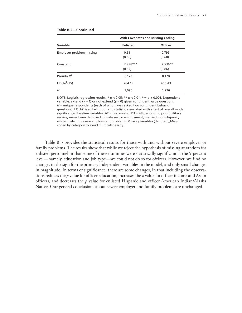|                          | <b>With Covariates and Missing Coding</b> |                |  |  |
|--------------------------|-------------------------------------------|----------------|--|--|
| Variable                 | <b>Enlisted</b>                           | <b>Officer</b> |  |  |
| Employer problem missing | 0.51                                      | $-0.799$       |  |  |
|                          | (0.66)                                    | (0.68)         |  |  |
| Constant                 | 2.998***                                  | $2.536**$      |  |  |
|                          | (0.52)                                    | (0.86)         |  |  |
| Pseudo R <sup>2</sup>    | 0.123                                     | 0.178          |  |  |
| LR chi <sup>2</sup> (35) | 264.15                                    | 406.43         |  |  |
| Ν                        | 1,090                                     | 1,226          |  |  |

#### **Table B.2—Continued**

NOTE: Logistic regression results. \* *p* < 0.05; \*\* *p* < 0.01; \*\*\* *p* < 0.001. Dependent variable: extend (*y* = 1) or not extend (*y* = 0) given contingent value questions. *N* = unique respondents (each of whom was asked two contingent behavior questions). LR chi<sup>2</sup> is a likelihood ratio statistic associated with a test of overall model significance. Baseline variables: AT = two weeks, IDT = 48 periods, no prior military service, never been deployed, private sector employment, married, non-Hispanic, white, male, no severe employment problems. Missing variables (denoted \_Miss) coded by category to avoid multicollinearity.

Table B.3 provides the statistical results for those with and without severe employer or family problems. The results show that while we reject the hypothesis of missing at random for enlisted personnel in that some of these dummies were statistically significant at the 5-percent level—namely, education and job type—we could not do so for officers. However, we find no changes in the sign for the primary independent variables in the model, and only small changes in magnitude. In terms of significance, there are some changes, in that including the observations reduces the *p* value for officer education, increases the *p* value for officer income and Asian officers, and decreases the *p* value for enlisted Hispanic and officer American Indian/Alaska Native. Our general conclusions about severe employer and family problems are unchanged.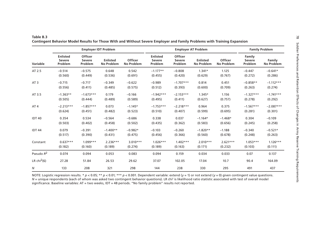|                         |                                             |                                            | <b>Employer IDT Problem</b>          |                              |                                             |                                     | <b>Employer AT Problem</b>           |                              |                                    | <b>Family Problem</b>       |
|-------------------------|---------------------------------------------|--------------------------------------------|--------------------------------------|------------------------------|---------------------------------------------|-------------------------------------|--------------------------------------|------------------------------|------------------------------------|-----------------------------|
| Variable                | <b>Enlisted</b><br><b>Severe</b><br>Problem | <b>Officer</b><br><b>Severe</b><br>Problem | <b>Enlisted</b><br><b>No Problem</b> | Officer<br><b>No Problem</b> | <b>Enlisted</b><br><b>Severe</b><br>Problem | Officer<br><b>Severe</b><br>Problem | <b>Enlisted</b><br><b>No Problem</b> | Officer<br><b>No Problem</b> | Family<br><b>Severe</b><br>Problem | Family<br><b>No Problem</b> |
| AT 2.5                  | $-0.514$                                    | $-0.575$                                   | 0.648                                | 0.542                        | $-1.177**$                                  | $-0.808$                            | $1.341*$                             | 1.125                        | $-0.447$                           | $-0.641*$                   |
|                         | (0.560)                                     | (0.449)                                    | (0.536)                              | (0.691)                      | (0.455)                                     | (0.420)                             | (0.629)                              | (0.767)                      | (0.272)                            | (0.286)                     |
| AT <sub>3</sub>         | $-0.715$                                    | $-0.717$                                   | $-0.349$                             | $-0.622$                     | $-0.989$                                    | $-1.707***$                         | 0.814                                | 0.451                        | $-0.858**$                         | $-1.112***$                 |
|                         | (0.556)                                     | (0.411)                                    | (0.485)                              | (0.575)                      | (0.512)                                     | (0.393)                             | (0.600)                              | (0.709)                      | (0.263)                            | (0.274)                     |
| AT 3.5                  | $-1.363**$                                  | $-1.673***$                                | 0.179                                | $-0.166$                     | $-1.942***$                                 | $-2.153***$                         | $1.345*$                             | 1.156                        | $-1.327***$                        | $-1.741***$                 |
|                         | (0.505)                                     | (0.444)                                    | (0.489)                              | (0.589)                      | (0.495)                                     | (0.411)                             | (0.627)                              | (0.757)                      | (0.278)                            | (0.292)                     |
| AT <sub>4</sub>         | $-2.213***$                                 | $-1.857***$                                | 0.073                                | $-1.145*$                    | $-1.753***$                                 | $-2.218***$                         | 0.964                                | 0.375                        | $-1.567***$                        | $-2.087***$                 |
|                         | (0.624)                                     | (0.451)                                    | (0.482)                              | (0.523)                      | (0.510)                                     | (0.407)                             | (0.599)                              | (0.695)                      | (0.281)                            | (0.301)                     |
| <b>IDT 40</b>           | 0.354                                       | 0.534                                      | $-0.564$                             | $-0.686$                     | 0.338                                       | 0.037                               | $-1.164*$                            | $-1.468*$                    | 0.304                              | $-0.109$                    |
|                         | (0.503)                                     | (0.402)                                    | (0.458)                              | (0.502)                      | (0.435)                                     | (0.362)                             | (0.583)                              | (0.656)                      | (0.245)                            | (0.258)                     |
| <b>IDT44</b>            | 0.079                                       | $-0.391$                                   | $-1.400**$                           | $-0.982*$                    | $-0.103$                                    | $-0.260$                            | $-1.820**$                           | $-1.188$                     | $-0.340$                           | $-0.521*$                   |
|                         | (0.517)                                     | (0.390)                                    | (0.431)                              | (0.475)                      | (0.456)                                     | (0.366)                             | (0.560)                              | (0.678)                      | (0.248)                            | (0.263)                     |
| Constant                | $0.637***$                                  | $1.099***$                                 | $2.236***$                           | $3.010***$                   | $1.026***$                                  | $1.402***$                          | $2.010***$                           | $2.621***$                   | $1.053***$                         | $1.126***$                  |
|                         | (0.182)                                     | (0.160)                                    | (0.189)                              | (0.274)                      | (0.189)                                     | (0.163)                             | (0.171)                              | (0.232)                      | (0.103)                            | (0.111)                     |
| Pseudo $R^2$            | 0.074                                       | 0.094                                      | 0.053                                | 0.083                        | 0.094                                       | 0.159                               | 0.034                                | 0.033                        | 0.07                               | 0.137                       |
| LR chi <sup>2</sup> (6) | 27.28                                       | 51.84                                      | 26.53                                | 29.62                        | 37.07                                       | 102.05                              | 17.04                                | 10.7                         | 90.4                               | 164.09                      |
| $\overline{N}$          | 133                                         | 208                                        | 321                                  | 298                          | 144                                         | 238                                 | 330                                  | 295                          | 491                                | 437                         |

#### **Table B.3 Contingent Behavior Model Results for Those With and Without Severe Employer and Family Problems with Training Expansion**

NOTE: Logistic regression results. \* *p* < 0.05; \*\* *p* < 0.01; \*\*\* *p* < 0.001. Dependent variable: extend (*y* = 1) or not extend (*y* = 0) given contingent value questions. N = unique respondents (each of whom was asked two contingent behavior questions). LR chi<sup>2</sup> is likelihood ratio statistic associated with test of overall model significance. Baseline variables: AT = two weeks, IDT = 48 periods. "No family problem" results not reported.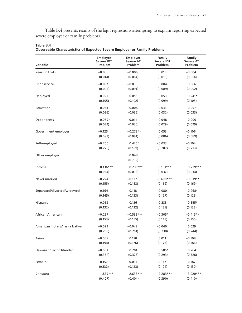Table B.4 presents results of the logit regressions attempting to explain reporting expected severe employer or family problems.

| Variable                      | Employer          | Employer         | Family            | Family           |
|-------------------------------|-------------------|------------------|-------------------|------------------|
|                               | <b>Severe IDT</b> | <b>Severe AT</b> | <b>Severe IDT</b> | <b>Severe AT</b> |
|                               | Problem           | Problem          | Problem           | Problem          |
| <b>Years in USAR</b>          | $-0.009$          | $-0.006$         | 0.010             | $-0.004$         |
|                               | (0.014)           | (0.014)          | (0.013)           | (0.014)          |
| Prior service                 | $-0.037$          | $-0.035$         | 0.004             | 0.066            |
|                               | (0.095)           | (0.091)          | (0.089)           | (0.092)          |
| Deployed                      | $-0.021$          | 0.055            | 0.053             | $0.241*$         |
|                               | (0.105)           | (0.102)          | (0.099)           | (0.105)          |
| Education                     | 0.033             | 0.008            | $-0.031$          | $-0.057$         |
|                               | (0.036)           | (0.035)          | (0.032)           | (0.033)          |
| Dependents                    | $-0.069*$         | $-0.011$         | $-0.048$          | 0.000            |
|                               | (0.032)           | (0.030)          | (0.029)           | (0.029)          |
| Government employer           | $-0.125$          | $-0.278**$       | 0.053             | $-0.106$         |
|                               | (0.092)           | (0.091)          | (0.086)           | (0.089)          |
| Self-employed                 | $-0.200$          | $0.426*$         | $-0.033$          | $-0.104$         |
|                               | (0.226)           | (0.189)          | (0.207)           | (0.213)          |
| Other employer                |                   | 0.048<br>(0.792) |                   |                  |
| Income                        | $0.136***$        | $0.235***$       | $0.191***$        | $0.239***$       |
|                               | (0.034)           | (0.033)          | (0.032)           | (0.034)          |
| Never married                 | $-0.224$          | $-0.137$         | $-0.670***$       | $-0.539**$       |
|                               | (0.155)           | (0.153)          | (0.162)           | (0.169)          |
| Separated/divorced/widowed    | $-0.164$          | 0.118            | 0.080             | $0.268*$         |
|                               | (0.145)           | (0.133)          | (0.127)           | (0.129)          |
| Hispanic                      | $-0.053$          | 0.126            | 0.233             | $0.355*$         |
|                               | (0.132)           | (0.132)          | (0.131)           | (0.138)          |
| African American              | $-0.297$          | $-0.538***$      | $-0.305*$         | $-0.415**$       |
|                               | (0.153)           | (0.155)          | (0.143)           | (0.150)          |
| American Indian/Alaska Native | $-0.029$          | $-0.042$         | $-0.040$          | 0.029            |
|                               | (0.258)           | (0.251)          | (0.238)           | (0.244)          |
| Asian                         | $-0.055$          | 0.170            | 0.011             | $-0.108$         |
|                               | (0.194)           | (0.176)          | (0.178)           | (0.186)          |
| Hawaiian/Pacific Islander     | $-0.064$          | 0.201            | $0.585*$          | 0.264            |
|                               | (0.364)           | (0.326)          | (0.293)           | (0.326)          |
| Female                        | $-0.157$          | 0.037            | $-0.147$          | $-0.187$         |
|                               | (0.132)           | (0.123)          | (0.124)           | (0.130)          |
| Constant                      | $-1.839***$       | $-2.638***$      | $-2.283***$       | $-3.020***$      |
|                               | (0.407)           | (0.404)          | (0.390)           | (0.410)          |

**Table B.4**

**Observable Characteristics of Expected Severe Employer or Family Problems**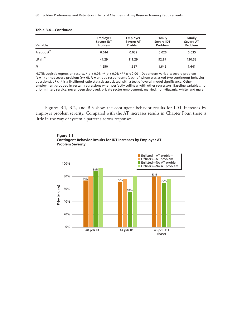| <b>Variable</b>       | Employer<br><b>Severe IDT</b><br>Problem | Employer<br><b>Severe AT</b><br>Problem | Family<br><b>Severe IDT</b><br>Problem | Family<br><b>Severe AT</b><br>Problem |
|-----------------------|------------------------------------------|-----------------------------------------|----------------------------------------|---------------------------------------|
| Pseudo R <sup>2</sup> | 0.014                                    | 0.032                                   | 0.026                                  | 0.035                                 |
| LR $chi^2$            | 47.29                                    | 111.29                                  | 92.87                                  | 120.53                                |
| N                     | 1,650                                    | 1,657                                   | 1,645                                  | 1,641                                 |

#### **Table B.4—Continued**

NOTE: Logistic regression results. \* *p* < 0.05; \*\* *p* < 0.01; \*\*\* *p* < 0.001. Dependent variable: severe problem (*y* = 1) or not severe problem (*y* = 0). *N* = unique respondents (each of whom was asked two contingent behavior questions). LR chi<sup>2</sup> is a likelihood ratio statistic associated with a test of overall model significance. Other employment dropped in certain regressions when perfectly collinear with other regressors. Baseline variables: no prior military service, never been deployed, private sector employment, married, non-Hispanic, white, and male.

Figures B.1, B.2, and B.3 show the contingent behavior results for IDT increases by employer problem severity. Compared with the AT increases results in Chapter Four, there is little in the way of systemic patterns across responses.



**Figure B.1 Contingent Behavior Results for IDT Increases by Employer AT Problem Severity**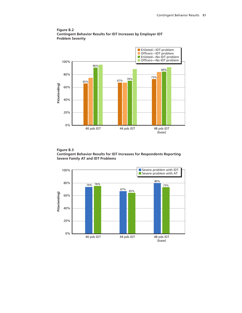

**Figure B.2 Contingent Behavior Results for IDT Increases by Employer IDT Problem Severity**

**Figure B.3 Contingent Behavior Results for IDT Increases for Respondents Reporting Severe Family AT and IDT Problems**

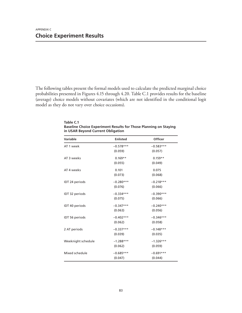The following tables present the formal models used to calculate the predicted marginal choice probabilities presented in Figures 4.15 through 4.20. Table C.1 provides results for the baseline (average) choice models without covariates (which are not identified in the conditional logit model as they do not vary over choice occasions).

| <b>Variable</b>       | <b>Enlisted</b> | Officer     |
|-----------------------|-----------------|-------------|
| AT 1 week             | $-0.578***$     | $-0.583***$ |
|                       | (0.059)         | (0.057)     |
| AT 3 weeks            | $0.169**$       | $0.159**$   |
|                       | (0.055)         | (0.049)     |
| AT 4 weeks            | 0.101           | 0.075       |
|                       | (0.073)         | (0.068)     |
| IDT 24 periods        | $-0.280***$     | $-0.218***$ |
|                       | (0.076)         | (0.066)     |
| IDT 32 periods        | $-0.334***$     | $-0.390***$ |
|                       | (0.075)         | (0.066)     |
| IDT 40 periods        | $-0.347***$     | $-0.240***$ |
|                       | (0.063)         | (0.056)     |
| <b>IDT 56 periods</b> | $-0.402***$     | $-0.346***$ |
|                       | (0.062)         | (0.058)     |
| 2 AT periods          | $-0.337***$     | $-0.148***$ |
|                       | (0.039)         | (0.035)     |
| Weeknight schedule    | $-1.288***$     | $-1.326***$ |
|                       | (0.062)         | (0.059)     |
| Mixed schedule        | $-0.685***$     | $-0.691***$ |
|                       | (0.047)         | (0.044)     |

**Table C.1 Baseline Choice Experiment Results for Those Planning on Staying in USAR Beyond Current Obligation**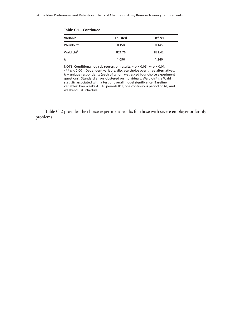| Variable              | <b>Enlisted</b> | <b>Officer</b> |  |  |
|-----------------------|-----------------|----------------|--|--|
| Pseudo $R^2$          | 0.158           | 0.145          |  |  |
| Wald chi <sup>2</sup> | 821.76          | 821.42         |  |  |
| N                     | 1,090           | 1,240          |  |  |

NOTE: Conditional logistic regression results. \* *p* < 0.05; \*\* *p* < 0.01; \*\*\* *p* < 0.001. Dependent variable: discrete choice over three alternatives. *N* = unique respondents (each of whom was asked four choice experiment questions). Standard errors clustered on individuals. Wald chi<sup>2</sup> is a Wald statistic associated with a test of overall model significance. Baseline

variables: two weeks AT, 48 periods IDT, one continuous period of AT, and weekend IDT schedule.

Table C.2 provides the choice experiment results for those with severe employer or family problems.

**Table C.1—Continued**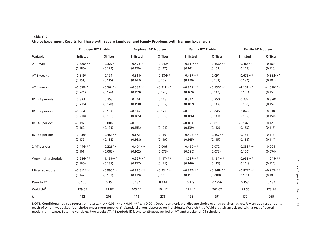|                       | <b>Employer IDT Problem</b> |                | <b>Employer AT Problem</b> |             | <b>Family IDT Problem</b> |                | <b>Family AT Problem</b> |                |
|-----------------------|-----------------------------|----------------|----------------------------|-------------|---------------------------|----------------|--------------------------|----------------|
| Variable              | <b>Enlisted</b>             | <b>Officer</b> | <b>Enlisted</b>            | Officer     | <b>Enlisted</b>           | <b>Officer</b> | <b>Enlisted</b>          | <b>Officer</b> |
| AT 1 week             | $-0.626***$                 | $-0.327*$      | $-0.473**$                 | $-0.242*$   | $-0.617***$               | $-0.356***$    | $-0.465**$               | $-0.169$       |
|                       | (0.180)                     | (0.129)        | (0.170)                    | (0.117)     | (0.141)                   | (0.102)        | (0.148)                  | (0.110)        |
| AT 3 weeks            | $-0.319*$                   | $-0.194$       | $-0.361*$                  | $-0.284**$  | $-0.487***$               | $-0.091$       | $-0.675***$              | $-0.382***$    |
|                       | (0.151)                     | (0.115)        | (0.143)                    | (0.109)     | (0.120)                   | (0.101)        | (0.132)                  | (0.102)        |
| AT 4 weeks            | $-0.650**$                  | $-0.564**$     | $-0.534**$                 | $-0.911***$ | $-0.869***$               | $-0.556***$    | $-1.158***$              | $-1.010***$    |
|                       | (0.201)                     | (0.176)        | (0.199)                    | (0.178)     | (0.169)                   | (0.147)        | (0.191)                  | (0.159)        |
| IDT 24 periods        | 0.333                       | 0.253          | 0.214                      | 0.168       | 0.317                     | 0.250          | 0.237                    | $0.370*$       |
|                       | (0.215)                     | (0.170)        | (0.198)                    | (0.162)     | (0.182)                   | (0.144)        | (0.188)                  | (0.157)        |
| IDT 32 periods        | $-0.064$                    | $-0.184$       | $-0.042$                   | $-0.122$    | $-0.006$                  | $-0.045$       | 0.049                    | 0.010          |
|                       | (0.214)                     | (0.166)        | (0.185)                    | (0.155)     | (0.186)                   | (0.141)        | (0.185)                  | (0.150)        |
| IDT 40 periods        | $-0.197$                    | 0.006          | $-0.086$                   | 0.158       | $-0.163$                  | $-0.018$       | $-0.176$                 | 0.126          |
|                       | (0.162)                     | (0.129)        | (0.153)                    | (0.121)     | (0.139)                   | (0.112)        | (0.153)                  | (0.116)        |
| <b>IDT 56 periods</b> | $-0.439*$                   | $-0.463***$    | $-0.172$                   | $-0.116$    | $-0.492***$               | $-0.357**$     | $-0.164$                 | $-0.117$       |
|                       | (0.179)                     | (0.138)        | (0.168)                    | (0.119)     | (0.145)                   | (0.115)        | (0.138)                  | (0.114)        |
| 2 AT periods          | $-0.446***$                 | $-0.226**$     | $-0.404***$                | $-0.006$    | $-0.450***$               | $-0.072$       | $-0.333***$              | 0.004          |
|                       | (0.101)                     | (0.083)        | (0.102)                    | (0.078)     | (0.090)                   | (0.073)        | (0.100)                  | (0.074)        |
| Weeknight schedule    | $-0.946***$                 | $-1.169***$    | $-0.997***$                | $-1.117***$ | $-1.087***$               | $-1.164***$    | $-0.951***$              | $-1.045***$    |
|                       | (0.160)                     | (0.135)        | (0.157)                    | (0.121)     | (0.140)                   | (0.113)        | (0.141)                  | (0.114)        |
| Mixed schedule        | $-0.811***$                 | $-0.995***$    | $-0.886***$                | $-0.934***$ | $-0.812***$               | $-0.848***$    | $-0.877***$              | $-0.953***$    |
|                       | (0.147)                     | (0.103)        | (0.139)                    | (0.100)     | (0.119)                   | (0.088)        | (0.131)                  | (0.103)        |
| Pseudo $R^2$          | 0.156                       | 0.15           | 0.134                      | 0.134       | 0.179                     | 0.1356         | 0.153                    | 0.137          |
| Wald chi <sup>2</sup> | 129.55                      | 171.87         | 105.24                     | 164.12      | 191.44                    | 201.62         | 121.55                   | 173.26         |
| Ν                     | 132                         | 208            | 143                        | 238         | 198                       | 291            | 170                      | 265            |

## **Table C.2 Choice Experiment Results for Those with Severe Employer and Family Problems with Training Expansion**

NOTE: Conditional logistic regression results. \* *p* < 0.05; \*\* *p* < 0.01; \*\*\* *p* < 0.001. Dependent variable: discrete choice over three alternatives. *N* = unique respondents (each of whom was asked four choice experiment questions). Standard errors clustered on individuals. Wald chi2 is a Wald statistic associated with a test of overall model significance. Baseline variables: two weeks AT, 48 periods IDT, one continuous period of AT, and weekend IDT schedule.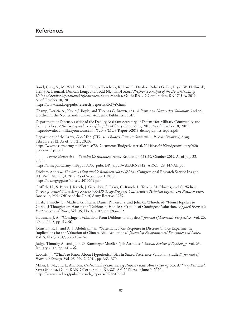Bond, Craig A., M. Wade Markel, Olesya Tkacheva, Richard E. Darilek, Robert G. Fix, Bryan W. Hallmark, Henry A. Leonard, Duncan Long, and Todd Nichols, *A Stated Preference Analysis of the Determinants of Unit and Soldier Operational Effectiveness*, Santa Monica, Calif.: RAND Corporation, RR-1745-A, 2019. As of October 10, 2019:

[https://www.rand.org/pubs/research\\_reports/RR1745.html](https://www.rand.org/pubs/research_reports/RR1745.html)

Champ, Patricia A., Kevin J. Boyle, and Thomas C. Brown, eds., *A Primer on Nonmarket Valuation*, 2nd ed. Dordrecht, the Netherlands: Kluwer Academic Publishers, 2017.

Department of Defense, Office of the Deputy Assistant Secretary of Defense for Military Community and Family Policy, *2018 Demographics: Profile of the Military Community*, 2018. As of October 18, 2019: <http://download.militaryonesource.mil/12038/MOS/Reports/2018-demographics-report.pdf>

Department of the Army, *Fiscal Year (FY) 2013 Budget Estimate Submission: Reserve Personnel, Army*, February 2012. As of July 21, 2020:

[https://www.asafm.army.mil/Portals/72/Documents/BudgetMaterial/2013/base%20budget/military%20](https://www.asafm.army.mil/Portals/72/Documents/BudgetMaterial/2013/base%20budget/military%20personnel/rpa.pdf) personnel/rpa.pdf

———, *Force Generation*—*Sustainable Readiness*, Army Regulation 525-29, October 2019. As of July 22, 2020:

[https://armypubs.army.mil/epubs/DR\\_pubs/DR\\_a/pdf/web/ARN9412\\_AR525\\_29\\_FINAL.pdf](https://armypubs.army.mil/epubs/DR_pubs/DR_a/pdf/web/ARN9412_AR525_29_FINAL.pdf)

Feickert, Andrew, *The Army's Sustainable Readiness Model (SRM)*, Congressional Research Service Insight IN10679, March 31, 2017. As of September 1, 2017: <https://fas.org/sgp/crs/natsec/IN10679.pdf>

Griffith, H., S. Perry, J. Rauch, J. Greenlees, S. Baker, C. Rauch, L. Toskin, M. Rhoads, and C. Wolters, *Survey of United States Army Reserve (USAR) Troop Program Unit Soldiers Technical Report: The Research Plan*, Rockville, Md.: Office of the Chief, Army Reserve, 1989.

Haab, Timothy C., Mathew G. Interis, Daniel R. Petrolia, and John C. Whitehead, "From Hopeless to Curious? Thoughts on Hausman's 'Dubious to Hopeless' Critique of Contingent Valuation," *Applied Economic Perspectives and Policy*, Vol. 35, No. 4, 2013, pp. 593–612.

Hausman, J. A., "Contingent Valuation: From Dubious to Hopeless," *Journal of Economic Perspectives*, Vol. 26, No. 4, 2012, pp. 43–56.

Johnston, R. J., and A. S. Abdulrahman, "Systematic Non-Response in Discrete Choice Experiments: Implications for the Valuation of Climate Risk Reductions," *Journal of Environmental Economics and Policy*, Vol. 6, No. 3, 2017, pp. 246–267.

Judge, Timothy A., and John D. Kammeyer-Mueller, "Job Attitudes," *Annual Review of Psychology*, Vol. 63, January 2012, pp. 341–367.

Loomis, J., "What's to Know About Hypothetical Bias in Stated Preference Valuation Studies?" *Journal of Economic Surveys*, Vol. 25, No. 2, 2011, pp. 363–370.

Miller, L. M., and E. Aharoni, *Understanding Low Survey Response Rates Among Young U.S. Military Personnel*, Santa Monica, Calif.: RAND Corporation, RR-881-AF, 2015. As of June 9, 2020: [https://www.rand.org/pubs/research\\_reports/RR881.html](https://www.rand.org/pubs/research_reports/RR881.html)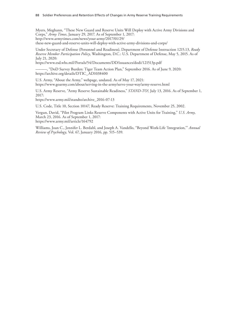Myers, Meghann, "These New Guard and Reserve Units Will Deploy with Active Army Divisions and Corps," *Army Times*, January 29, 2017. As of September 1, 2017: http://www.armytimes.com/news/your-army/2017/01/29/ [these-new-guard-and-reserve-units-will-deploy-with-active-army-divisions-and-corps/](http://www.armytimes.com/news/your-army/2017/01/29/these-new-guard-and-reserve-units-will-deploy-with-active-army-divisions-and-corps/)

Under Secretary of Defense (Personnel and Readiness), Department of Defense Instruction 1215.13, *Ready Reserve Member Participation Policy*, Washington, D.C.: U.S. Department of Defense, May 5, 2015. As of July 21, 2020:

<https://www.esd.whs.mil/Portals/54/Documents/DD/issuances/dodi/121513p.pdf>

———, "DoD Survey Burden: Tiger Team Action Plan," September 2016. As of June 9, 2020: [https://archive.org/details/DTIC\\_AD1038400](https://archive.org/details/DTIC_AD1038400)

U.S. Army, "About the Army," webpage, undated. As of May 17, 2021: <https://www.goarmy.com/about/serving-in-the-army/serve-your-way/army-reserve.html>

U.S. Army Reserve, "Army Reserve Sustainable Readiness," *STAND-TO!*, July 13, 2016. As of September 1, 2017:

[https://www.army.mil/standto/archive\\_2016-07-13](https://www.army.mil/standto/archive_2016-07-13)

U.S. Code, Title 10, Section 10147, Ready Reserve: Training Requirements, November 25, 2002.

Vergun, David, "Pilot Program Links Reserve Components with Active Units for Training," *U.S. Army*, March 23, 2016. As of September 1, 2017: <https://www.army.mil/article/164792>

Williams, Joan C., Jennifer L. Berdahl, and Joseph A. Vandello, "Beyond Work-Life 'Integration,'" *Annual Review of Psychology*, Vol. 67, January 2016, pp. 515–539.